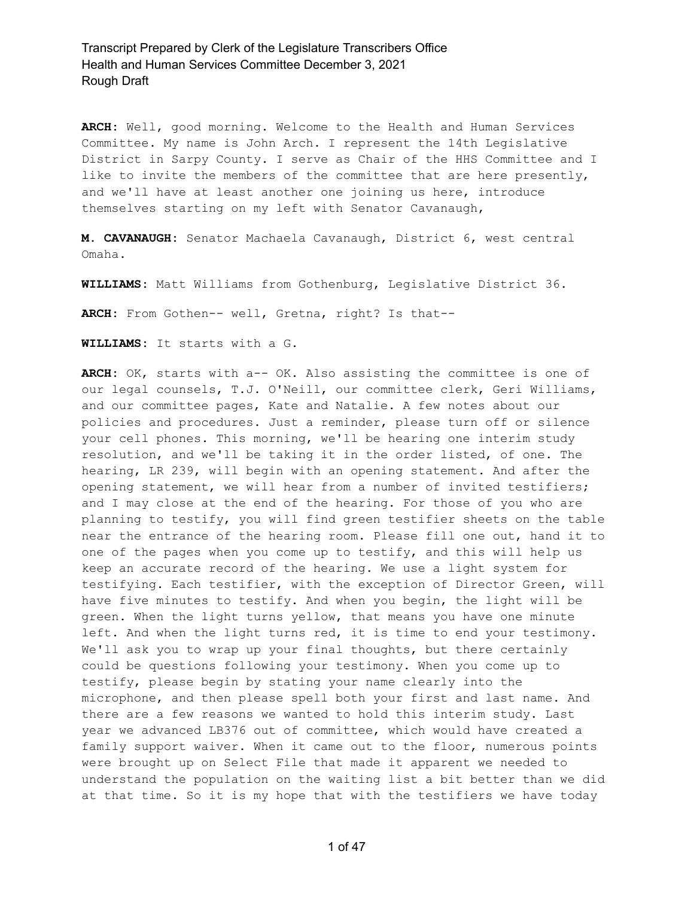**ARCH:** Well, good morning. Welcome to the Health and Human Services Committee. My name is John Arch. I represent the 14th Legislative District in Sarpy County. I serve as Chair of the HHS Committee and I like to invite the members of the committee that are here presently, and we'll have at least another one joining us here, introduce themselves starting on my left with Senator Cavanaugh,

**M. CAVANAUGH:** Senator Machaela Cavanaugh, District 6, west central Omaha.

**WILLIAMS:** Matt Williams from Gothenburg, Legislative District 36.

**ARCH:** From Gothen-- well, Gretna, right? Is that--

**WILLIAMS:** It starts with a G.

ARCH: OK, starts with a-- OK. Also assisting the committee is one of our legal counsels, T.J. O'Neill, our committee clerk, Geri Williams, and our committee pages, Kate and Natalie. A few notes about our policies and procedures. Just a reminder, please turn off or silence your cell phones. This morning, we'll be hearing one interim study resolution, and we'll be taking it in the order listed, of one. The hearing, LR 239, will begin with an opening statement. And after the opening statement, we will hear from a number of invited testifiers; and I may close at the end of the hearing. For those of you who are planning to testify, you will find green testifier sheets on the table near the entrance of the hearing room. Please fill one out, hand it to one of the pages when you come up to testify, and this will help us keep an accurate record of the hearing. We use a light system for testifying. Each testifier, with the exception of Director Green, will have five minutes to testify. And when you begin, the light will be green. When the light turns yellow, that means you have one minute left. And when the light turns red, it is time to end your testimony. We'll ask you to wrap up your final thoughts, but there certainly could be questions following your testimony. When you come up to testify, please begin by stating your name clearly into the microphone, and then please spell both your first and last name. And there are a few reasons we wanted to hold this interim study. Last year we advanced LB376 out of committee, which would have created a family support waiver. When it came out to the floor, numerous points were brought up on Select File that made it apparent we needed to understand the population on the waiting list a bit better than we did at that time. So it is my hope that with the testifiers we have today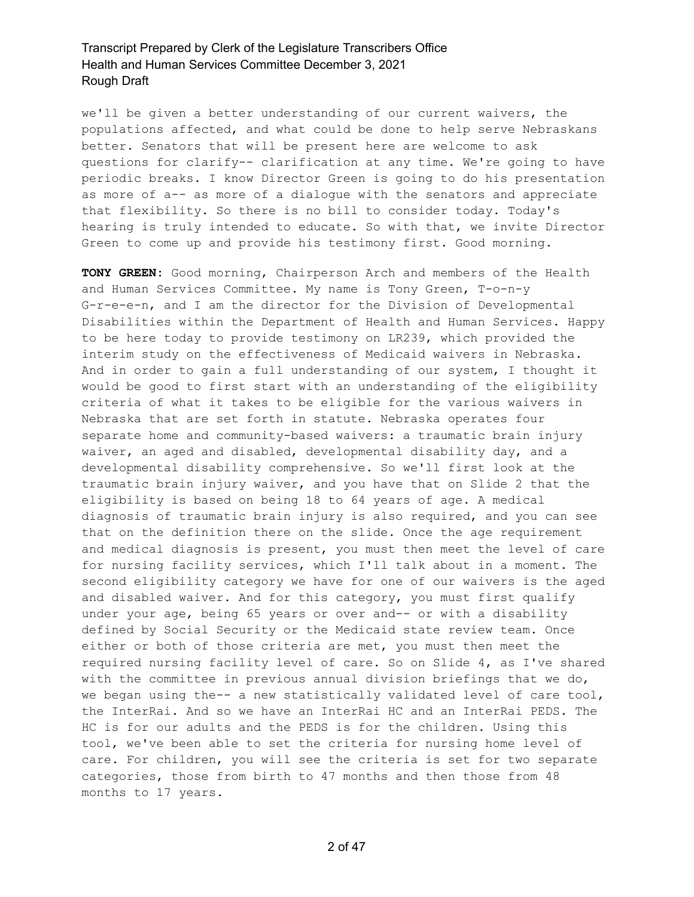we'll be given a better understanding of our current waivers, the populations affected, and what could be done to help serve Nebraskans better. Senators that will be present here are welcome to ask questions for clarify-- clarification at any time. We're going to have periodic breaks. I know Director Green is going to do his presentation as more of a-- as more of a dialogue with the senators and appreciate that flexibility. So there is no bill to consider today. Today's hearing is truly intended to educate. So with that, we invite Director Green to come up and provide his testimony first. Good morning.

**TONY GREEN:** Good morning, Chairperson Arch and members of the Health and Human Services Committee. My name is Tony Green, T-o-n-y G-r-e-e-n, and I am the director for the Division of Developmental Disabilities within the Department of Health and Human Services. Happy to be here today to provide testimony on LR239, which provided the interim study on the effectiveness of Medicaid waivers in Nebraska. And in order to gain a full understanding of our system, I thought it would be good to first start with an understanding of the eligibility criteria of what it takes to be eligible for the various waivers in Nebraska that are set forth in statute. Nebraska operates four separate home and community-based waivers: a traumatic brain injury waiver, an aged and disabled, developmental disability day, and a developmental disability comprehensive. So we'll first look at the traumatic brain injury waiver, and you have that on Slide 2 that the eligibility is based on being 18 to 64 years of age. A medical diagnosis of traumatic brain injury is also required, and you can see that on the definition there on the slide. Once the age requirement and medical diagnosis is present, you must then meet the level of care for nursing facility services, which I'll talk about in a moment. The second eligibility category we have for one of our waivers is the aged and disabled waiver. And for this category, you must first qualify under your age, being 65 years or over and-- or with a disability defined by Social Security or the Medicaid state review team. Once either or both of those criteria are met, you must then meet the required nursing facility level of care. So on Slide 4, as I've shared with the committee in previous annual division briefings that we do, we began using the-- a new statistically validated level of care tool, the InterRai. And so we have an InterRai HC and an InterRai PEDS. The HC is for our adults and the PEDS is for the children. Using this tool, we've been able to set the criteria for nursing home level of care. For children, you will see the criteria is set for two separate categories, those from birth to 47 months and then those from 48 months to 17 years.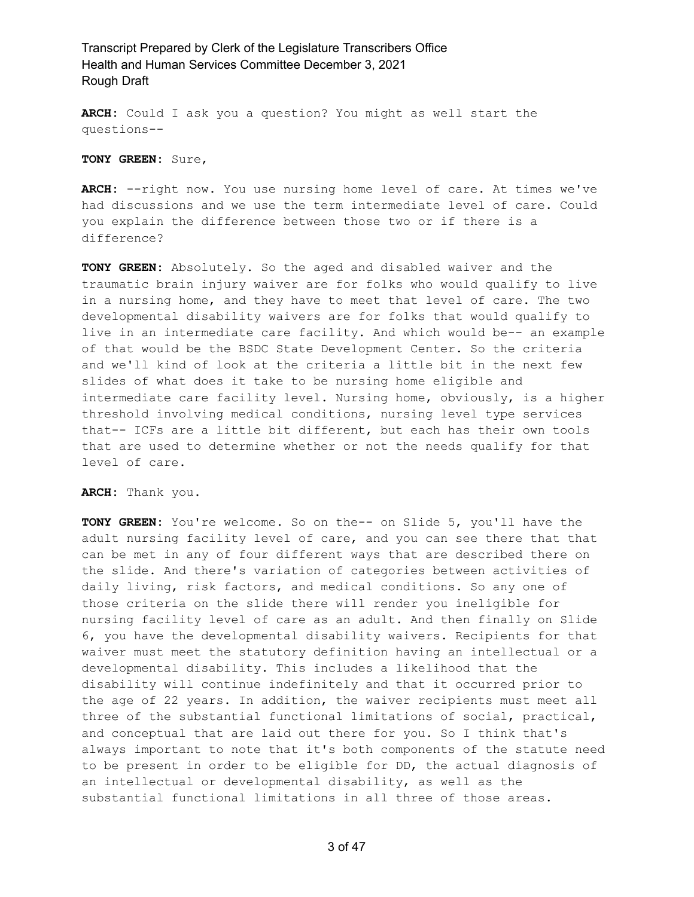**ARCH:** Could I ask you a question? You might as well start the questions--

**TONY GREEN:** Sure,

**ARCH:** --right now. You use nursing home level of care. At times we've had discussions and we use the term intermediate level of care. Could you explain the difference between those two or if there is a difference?

**TONY GREEN:** Absolutely. So the aged and disabled waiver and the traumatic brain injury waiver are for folks who would qualify to live in a nursing home, and they have to meet that level of care. The two developmental disability waivers are for folks that would qualify to live in an intermediate care facility. And which would be-- an example of that would be the BSDC State Development Center. So the criteria and we'll kind of look at the criteria a little bit in the next few slides of what does it take to be nursing home eligible and intermediate care facility level. Nursing home, obviously, is a higher threshold involving medical conditions, nursing level type services that-- ICFs are a little bit different, but each has their own tools that are used to determine whether or not the needs qualify for that level of care.

**ARCH:** Thank you.

**TONY GREEN:** You're welcome. So on the-- on Slide 5, you'll have the adult nursing facility level of care, and you can see there that that can be met in any of four different ways that are described there on the slide. And there's variation of categories between activities of daily living, risk factors, and medical conditions. So any one of those criteria on the slide there will render you ineligible for nursing facility level of care as an adult. And then finally on Slide 6, you have the developmental disability waivers. Recipients for that waiver must meet the statutory definition having an intellectual or a developmental disability. This includes a likelihood that the disability will continue indefinitely and that it occurred prior to the age of 22 years. In addition, the waiver recipients must meet all three of the substantial functional limitations of social, practical, and conceptual that are laid out there for you. So I think that's always important to note that it's both components of the statute need to be present in order to be eligible for DD, the actual diagnosis of an intellectual or developmental disability, as well as the substantial functional limitations in all three of those areas.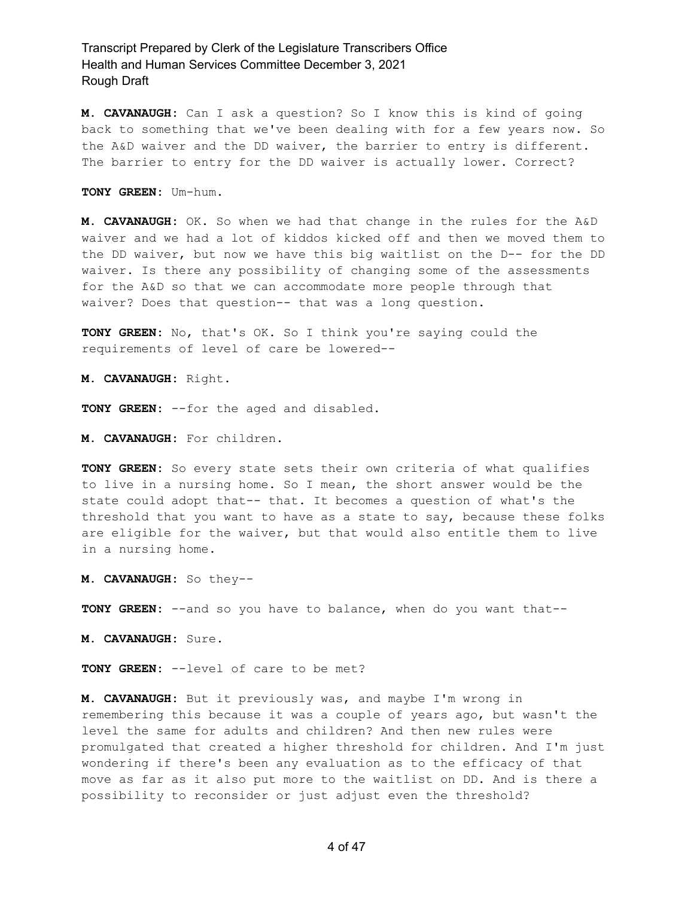**M. CAVANAUGH:** Can I ask a question? So I know this is kind of going back to something that we've been dealing with for a few years now. So the A&D waiver and the DD waiver, the barrier to entry is different. The barrier to entry for the DD waiver is actually lower. Correct?

**TONY GREEN:** Um-hum.

**M. CAVANAUGH:** OK. So when we had that change in the rules for the A&D waiver and we had a lot of kiddos kicked off and then we moved them to the DD waiver, but now we have this big waitlist on the D-- for the DD waiver. Is there any possibility of changing some of the assessments for the A&D so that we can accommodate more people through that waiver? Does that question-- that was a long question.

**TONY GREEN:** No, that's OK. So I think you're saying could the requirements of level of care be lowered--

**M. CAVANAUGH:** Right.

**TONY GREEN:** --for the aged and disabled.

**M. CAVANAUGH:** For children.

**TONY GREEN:** So every state sets their own criteria of what qualifies to live in a nursing home. So I mean, the short answer would be the state could adopt that-- that. It becomes a question of what's the threshold that you want to have as a state to say, because these folks are eligible for the waiver, but that would also entitle them to live in a nursing home.

**M. CAVANAUGH:** So they--

**TONY GREEN:** --and so you have to balance, when do you want that--

**M. CAVANAUGH:** Sure.

**TONY GREEN:** --level of care to be met?

**M. CAVANAUGH:** But it previously was, and maybe I'm wrong in remembering this because it was a couple of years ago, but wasn't the level the same for adults and children? And then new rules were promulgated that created a higher threshold for children. And I'm just wondering if there's been any evaluation as to the efficacy of that move as far as it also put more to the waitlist on DD. And is there a possibility to reconsider or just adjust even the threshold?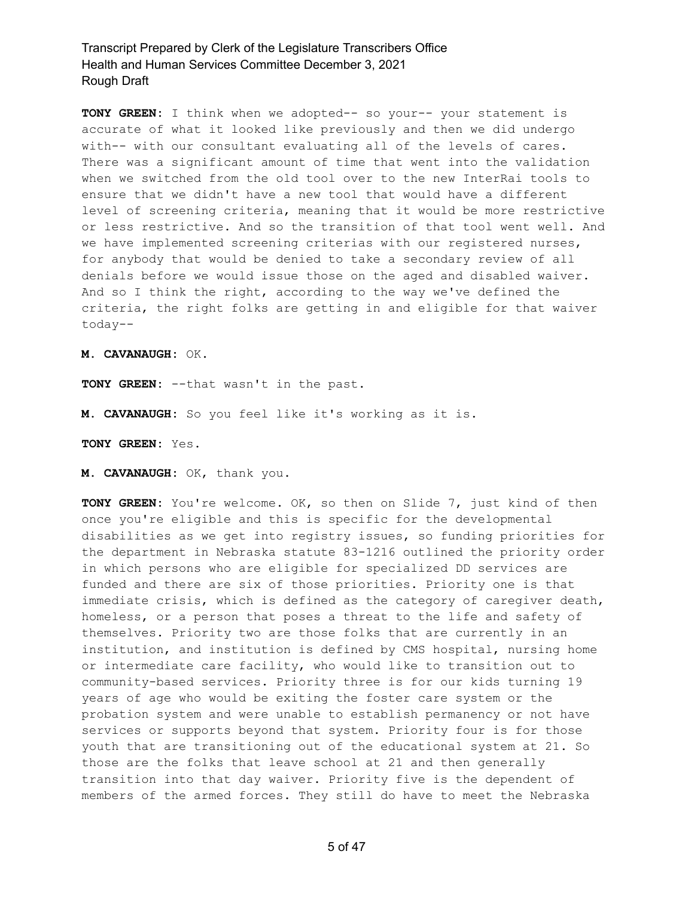**TONY GREEN:** I think when we adopted-- so your-- your statement is accurate of what it looked like previously and then we did undergo with-- with our consultant evaluating all of the levels of cares. There was a significant amount of time that went into the validation when we switched from the old tool over to the new InterRai tools to ensure that we didn't have a new tool that would have a different level of screening criteria, meaning that it would be more restrictive or less restrictive. And so the transition of that tool went well. And we have implemented screening criterias with our registered nurses, for anybody that would be denied to take a secondary review of all denials before we would issue those on the aged and disabled waiver. And so I think the right, according to the way we've defined the criteria, the right folks are getting in and eligible for that waiver today--

**M. CAVANAUGH:** OK.

**TONY GREEN:** --that wasn't in the past.

**M. CAVANAUGH:** So you feel like it's working as it is.

**TONY GREEN:** Yes.

**M. CAVANAUGH:** OK, thank you.

**TONY GREEN:** You're welcome. OK, so then on Slide 7, just kind of then once you're eligible and this is specific for the developmental disabilities as we get into registry issues, so funding priorities for the department in Nebraska statute 83-1216 outlined the priority order in which persons who are eligible for specialized DD services are funded and there are six of those priorities. Priority one is that immediate crisis, which is defined as the category of caregiver death, homeless, or a person that poses a threat to the life and safety of themselves. Priority two are those folks that are currently in an institution, and institution is defined by CMS hospital, nursing home or intermediate care facility, who would like to transition out to community-based services. Priority three is for our kids turning 19 years of age who would be exiting the foster care system or the probation system and were unable to establish permanency or not have services or supports beyond that system. Priority four is for those youth that are transitioning out of the educational system at 21. So those are the folks that leave school at 21 and then generally transition into that day waiver. Priority five is the dependent of members of the armed forces. They still do have to meet the Nebraska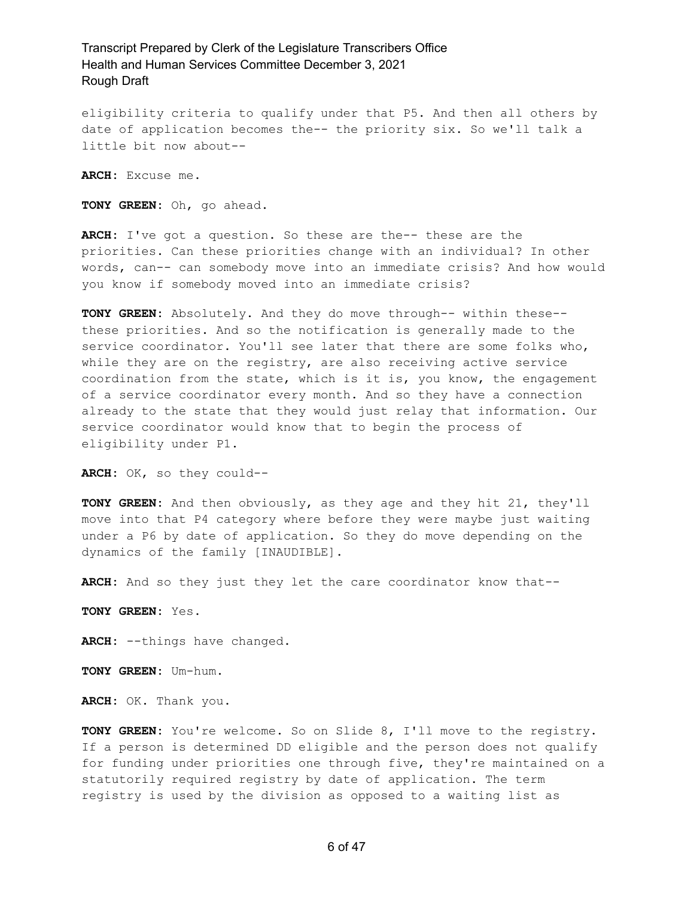eligibility criteria to qualify under that P5. And then all others by date of application becomes the-- the priority six. So we'll talk a little bit now about--

**ARCH:** Excuse me.

**TONY GREEN:** Oh, go ahead.

**ARCH:** I've got a question. So these are the-- these are the priorities. Can these priorities change with an individual? In other words, can-- can somebody move into an immediate crisis? And how would you know if somebody moved into an immediate crisis?

**TONY GREEN:** Absolutely. And they do move through-- within these- these priorities. And so the notification is generally made to the service coordinator. You'll see later that there are some folks who, while they are on the registry, are also receiving active service coordination from the state, which is it is, you know, the engagement of a service coordinator every month. And so they have a connection already to the state that they would just relay that information. Our service coordinator would know that to begin the process of eligibility under P1.

**ARCH:** OK, so they could--

**TONY GREEN:** And then obviously, as they age and they hit 21, they'll move into that P4 category where before they were maybe just waiting under a P6 by date of application. So they do move depending on the dynamics of the family [INAUDIBLE].

**ARCH:** And so they just they let the care coordinator know that--

**TONY GREEN:** Yes.

**ARCH:** --things have changed.

**TONY GREEN:** Um-hum.

**ARCH:** OK. Thank you.

**TONY GREEN:** You're welcome. So on Slide 8, I'll move to the registry. If a person is determined DD eligible and the person does not qualify for funding under priorities one through five, they're maintained on a statutorily required registry by date of application. The term registry is used by the division as opposed to a waiting list as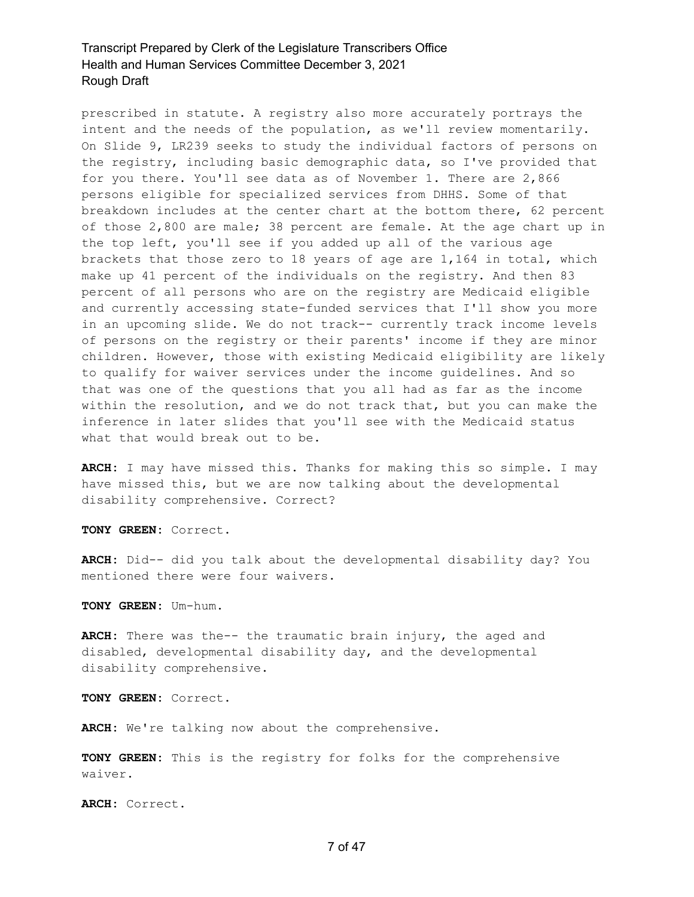prescribed in statute. A registry also more accurately portrays the intent and the needs of the population, as we'll review momentarily. On Slide 9, LR239 seeks to study the individual factors of persons on the registry, including basic demographic data, so I've provided that for you there. You'll see data as of November 1. There are 2,866 persons eligible for specialized services from DHHS. Some of that breakdown includes at the center chart at the bottom there, 62 percent of those 2,800 are male; 38 percent are female. At the age chart up in the top left, you'll see if you added up all of the various age brackets that those zero to 18 years of age are 1,164 in total, which make up 41 percent of the individuals on the registry. And then 83 percent of all persons who are on the registry are Medicaid eligible and currently accessing state-funded services that I'll show you more in an upcoming slide. We do not track-- currently track income levels of persons on the registry or their parents' income if they are minor children. However, those with existing Medicaid eligibility are likely to qualify for waiver services under the income guidelines. And so that was one of the questions that you all had as far as the income within the resolution, and we do not track that, but you can make the inference in later slides that you'll see with the Medicaid status what that would break out to be.

**ARCH:** I may have missed this. Thanks for making this so simple. I may have missed this, but we are now talking about the developmental disability comprehensive. Correct?

**TONY GREEN:** Correct.

**ARCH:** Did-- did you talk about the developmental disability day? You mentioned there were four waivers.

**TONY GREEN:** Um-hum.

**ARCH:** There was the-- the traumatic brain injury, the aged and disabled, developmental disability day, and the developmental disability comprehensive.

**TONY GREEN:** Correct.

**ARCH:** We're talking now about the comprehensive.

**TONY GREEN:** This is the registry for folks for the comprehensive waiver.

**ARCH:** Correct.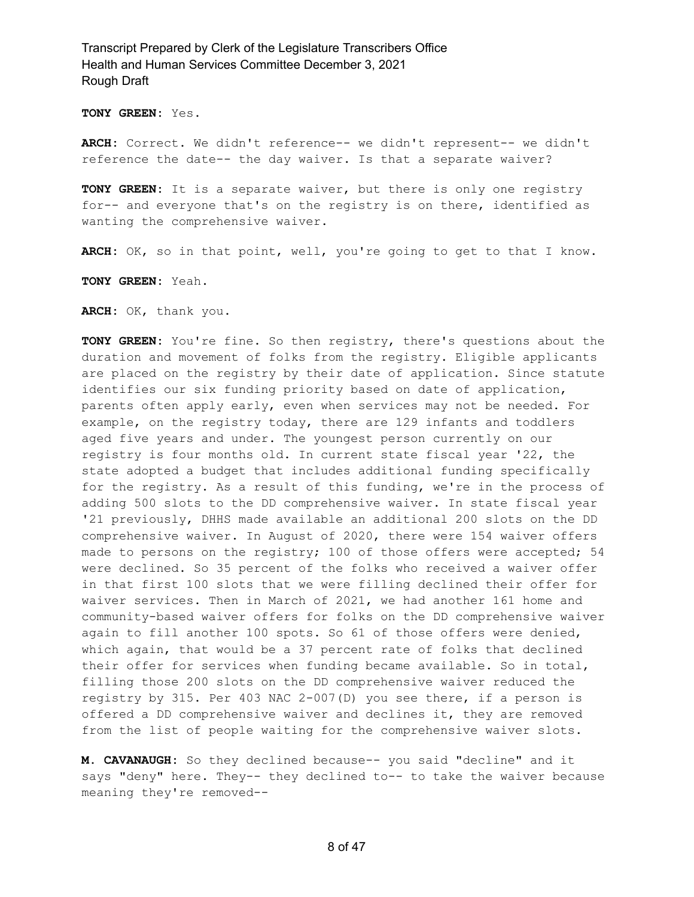**TONY GREEN:** Yes.

**ARCH:** Correct. We didn't reference-- we didn't represent-- we didn't reference the date-- the day waiver. Is that a separate waiver?

**TONY GREEN:** It is a separate waiver, but there is only one registry for-- and everyone that's on the registry is on there, identified as wanting the comprehensive waiver.

**ARCH:** OK, so in that point, well, you're going to get to that I know.

**TONY GREEN:** Yeah.

**ARCH:** OK, thank you.

**TONY GREEN:** You're fine. So then registry, there's questions about the duration and movement of folks from the registry. Eligible applicants are placed on the registry by their date of application. Since statute identifies our six funding priority based on date of application, parents often apply early, even when services may not be needed. For example, on the registry today, there are 129 infants and toddlers aged five years and under. The youngest person currently on our registry is four months old. In current state fiscal year '22, the state adopted a budget that includes additional funding specifically for the registry. As a result of this funding, we're in the process of adding 500 slots to the DD comprehensive waiver. In state fiscal year '21 previously, DHHS made available an additional 200 slots on the DD comprehensive waiver. In August of 2020, there were 154 waiver offers made to persons on the registry; 100 of those offers were accepted; 54 were declined. So 35 percent of the folks who received a waiver offer in that first 100 slots that we were filling declined their offer for waiver services. Then in March of 2021, we had another 161 home and community-based waiver offers for folks on the DD comprehensive waiver again to fill another 100 spots. So 61 of those offers were denied, which again, that would be a 37 percent rate of folks that declined their offer for services when funding became available. So in total, filling those 200 slots on the DD comprehensive waiver reduced the registry by 315. Per 403 NAC 2-007(D) you see there, if a person is offered a DD comprehensive waiver and declines it, they are removed from the list of people waiting for the comprehensive waiver slots.

**M. CAVANAUGH:** So they declined because-- you said "decline" and it says "deny" here. They-- they declined to-- to take the waiver because meaning they're removed--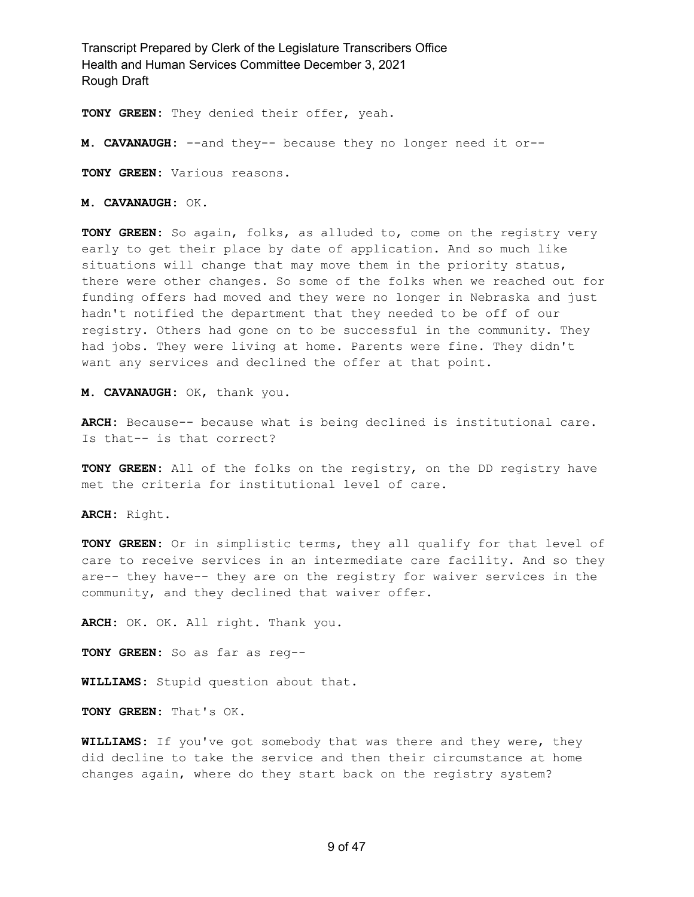**TONY GREEN:** They denied their offer, yeah.

**M. CAVANAUGH:** --and they-- because they no longer need it or--

**TONY GREEN:** Various reasons.

**M. CAVANAUGH:** OK.

**TONY GREEN:** So again, folks, as alluded to, come on the registry very early to get their place by date of application. And so much like situations will change that may move them in the priority status, there were other changes. So some of the folks when we reached out for funding offers had moved and they were no longer in Nebraska and just hadn't notified the department that they needed to be off of our registry. Others had gone on to be successful in the community. They had jobs. They were living at home. Parents were fine. They didn't want any services and declined the offer at that point.

**M. CAVANAUGH:** OK, thank you.

**ARCH:** Because-- because what is being declined is institutional care. Is that-- is that correct?

**TONY GREEN:** All of the folks on the registry, on the DD registry have met the criteria for institutional level of care.

**ARCH:** Right.

**TONY GREEN:** Or in simplistic terms, they all qualify for that level of care to receive services in an intermediate care facility. And so they are-- they have-- they are on the registry for waiver services in the community, and they declined that waiver offer.

**ARCH:** OK. OK. All right. Thank you.

**TONY GREEN:** So as far as reg--

**WILLIAMS:** Stupid question about that.

**TONY GREEN:** That's OK.

**WILLIAMS:** If you've got somebody that was there and they were, they did decline to take the service and then their circumstance at home changes again, where do they start back on the registry system?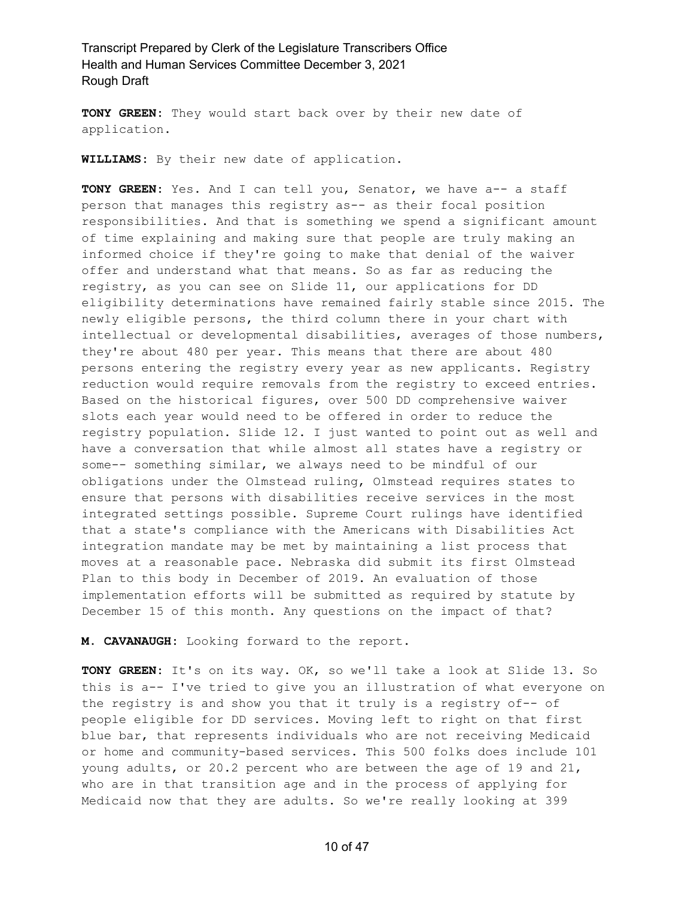**TONY GREEN:** They would start back over by their new date of application.

**WILLIAMS:** By their new date of application.

**TONY GREEN:** Yes. And I can tell you, Senator, we have a-- a staff person that manages this registry as-- as their focal position responsibilities. And that is something we spend a significant amount of time explaining and making sure that people are truly making an informed choice if they're going to make that denial of the waiver offer and understand what that means. So as far as reducing the registry, as you can see on Slide 11, our applications for DD eligibility determinations have remained fairly stable since 2015. The newly eligible persons, the third column there in your chart with intellectual or developmental disabilities, averages of those numbers, they're about 480 per year. This means that there are about 480 persons entering the registry every year as new applicants. Registry reduction would require removals from the registry to exceed entries. Based on the historical figures, over 500 DD comprehensive waiver slots each year would need to be offered in order to reduce the registry population. Slide 12. I just wanted to point out as well and have a conversation that while almost all states have a registry or some-- something similar, we always need to be mindful of our obligations under the Olmstead ruling, Olmstead requires states to ensure that persons with disabilities receive services in the most integrated settings possible. Supreme Court rulings have identified that a state's compliance with the Americans with Disabilities Act integration mandate may be met by maintaining a list process that moves at a reasonable pace. Nebraska did submit its first Olmstead Plan to this body in December of 2019. An evaluation of those implementation efforts will be submitted as required by statute by December 15 of this month. Any questions on the impact of that?

**M. CAVANAUGH:** Looking forward to the report.

**TONY GREEN:** It's on its way. OK, so we'll take a look at Slide 13. So this is a-- I've tried to give you an illustration of what everyone on the registry is and show you that it truly is a registry of-- of people eligible for DD services. Moving left to right on that first blue bar, that represents individuals who are not receiving Medicaid or home and community-based services. This 500 folks does include 101 young adults, or 20.2 percent who are between the age of 19 and 21, who are in that transition age and in the process of applying for Medicaid now that they are adults. So we're really looking at 399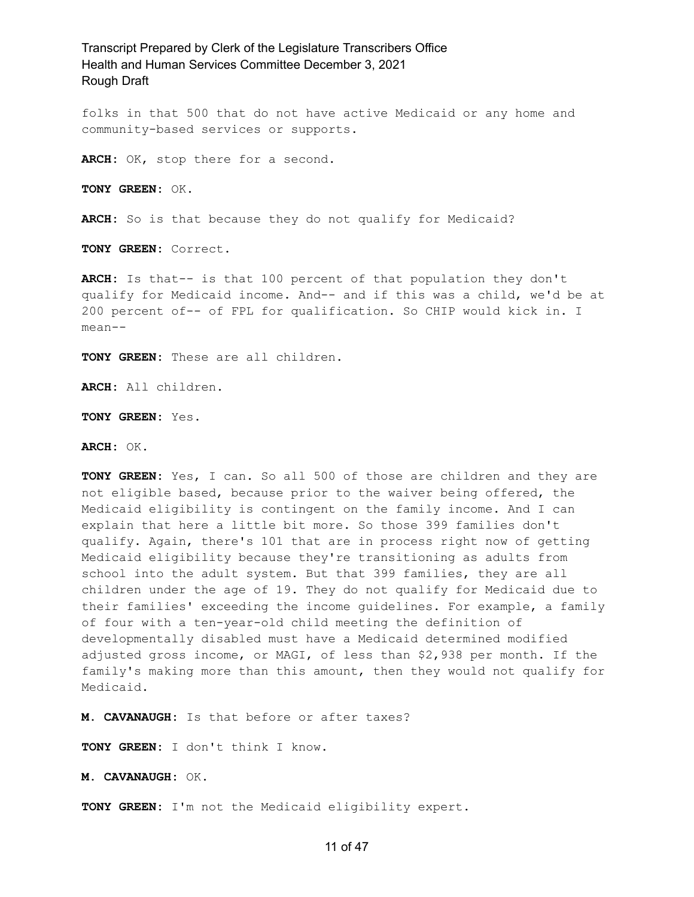folks in that 500 that do not have active Medicaid or any home and community-based services or supports.

**ARCH:** OK, stop there for a second.

**TONY GREEN:** OK.

**ARCH:** So is that because they do not qualify for Medicaid?

**TONY GREEN:** Correct.

**ARCH:** Is that-- is that 100 percent of that population they don't qualify for Medicaid income. And-- and if this was a child, we'd be at 200 percent of-- of FPL for qualification. So CHIP would kick in. I mean--

**TONY GREEN:** These are all children.

**ARCH:** All children.

**TONY GREEN:** Yes.

**ARCH:** OK.

**TONY GREEN:** Yes, I can. So all 500 of those are children and they are not eligible based, because prior to the waiver being offered, the Medicaid eligibility is contingent on the family income. And I can explain that here a little bit more. So those 399 families don't qualify. Again, there's 101 that are in process right now of getting Medicaid eligibility because they're transitioning as adults from school into the adult system. But that 399 families, they are all children under the age of 19. They do not qualify for Medicaid due to their families' exceeding the income guidelines. For example, a family of four with a ten-year-old child meeting the definition of developmentally disabled must have a Medicaid determined modified adjusted gross income, or MAGI, of less than \$2,938 per month. If the family's making more than this amount, then they would not qualify for Medicaid.

**M. CAVANAUGH:** Is that before or after taxes?

**TONY GREEN:** I don't think I know.

**M. CAVANAUGH:** OK.

**TONY GREEN:** I'm not the Medicaid eligibility expert.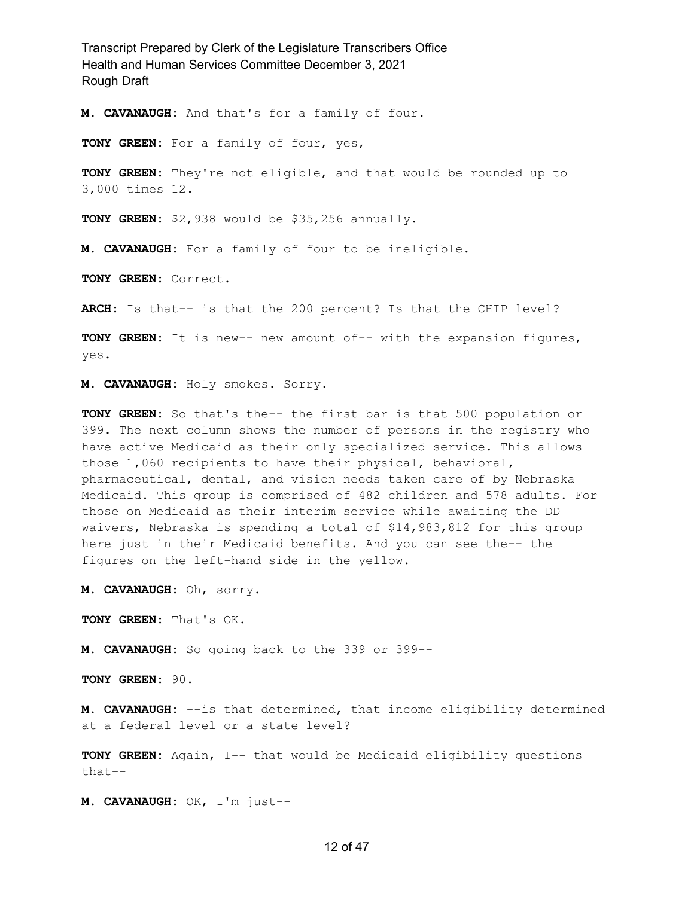**M. CAVANAUGH:** And that's for a family of four.

**TONY GREEN:** For a family of four, yes,

**TONY GREEN:** They're not eligible, and that would be rounded up to 3,000 times 12.

**TONY GREEN:** \$2,938 would be \$35,256 annually.

**M. CAVANAUGH:** For a family of four to be ineligible.

**TONY GREEN:** Correct.

**ARCH:** Is that-- is that the 200 percent? Is that the CHIP level?

**TONY GREEN:** It is new-- new amount of-- with the expansion figures, yes.

**M. CAVANAUGH:** Holy smokes. Sorry.

**TONY GREEN:** So that's the-- the first bar is that 500 population or 399. The next column shows the number of persons in the registry who have active Medicaid as their only specialized service. This allows those 1,060 recipients to have their physical, behavioral, pharmaceutical, dental, and vision needs taken care of by Nebraska Medicaid. This group is comprised of 482 children and 578 adults. For those on Medicaid as their interim service while awaiting the DD waivers, Nebraska is spending a total of \$14,983,812 for this group here just in their Medicaid benefits. And you can see the-- the figures on the left-hand side in the yellow.

**M. CAVANAUGH:** Oh, sorry.

**TONY GREEN:** That's OK.

**M. CAVANAUGH:** So going back to the 339 or 399--

**TONY GREEN:** 90.

**M. CAVANAUGH:** --is that determined, that income eligibility determined at a federal level or a state level?

**TONY GREEN:** Again, I-- that would be Medicaid eligibility questions that--

**M. CAVANAUGH:** OK, I'm just--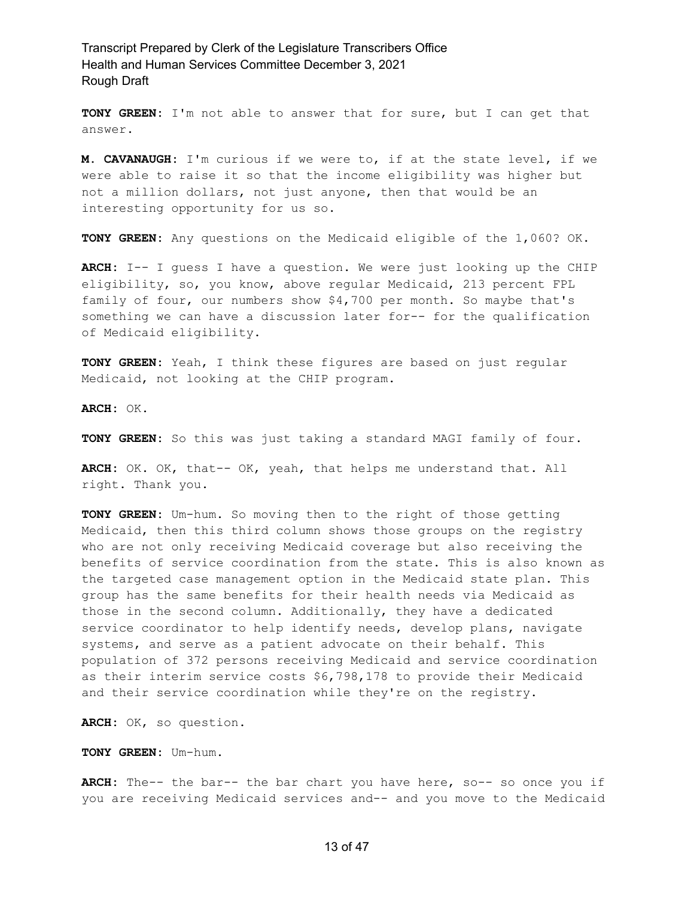**TONY GREEN:** I'm not able to answer that for sure, but I can get that answer.

**M. CAVANAUGH:** I'm curious if we were to, if at the state level, if we were able to raise it so that the income eligibility was higher but not a million dollars, not just anyone, then that would be an interesting opportunity for us so.

**TONY GREEN:** Any questions on the Medicaid eligible of the 1,060? OK.

**ARCH:** I-- I guess I have a question. We were just looking up the CHIP eligibility, so, you know, above regular Medicaid, 213 percent FPL family of four, our numbers show \$4,700 per month. So maybe that's something we can have a discussion later for-- for the qualification of Medicaid eligibility.

**TONY GREEN:** Yeah, I think these figures are based on just regular Medicaid, not looking at the CHIP program.

**ARCH:** OK.

**TONY GREEN:** So this was just taking a standard MAGI family of four.

**ARCH:** OK. OK, that-- OK, yeah, that helps me understand that. All right. Thank you.

**TONY GREEN:** Um-hum. So moving then to the right of those getting Medicaid, then this third column shows those groups on the registry who are not only receiving Medicaid coverage but also receiving the benefits of service coordination from the state. This is also known as the targeted case management option in the Medicaid state plan. This group has the same benefits for their health needs via Medicaid as those in the second column. Additionally, they have a dedicated service coordinator to help identify needs, develop plans, navigate systems, and serve as a patient advocate on their behalf. This population of 372 persons receiving Medicaid and service coordination as their interim service costs \$6,798,178 to provide their Medicaid and their service coordination while they're on the registry.

**ARCH:** OK, so question.

**TONY GREEN:** Um-hum.

**ARCH:** The-- the bar-- the bar chart you have here, so-- so once you if you are receiving Medicaid services and-- and you move to the Medicaid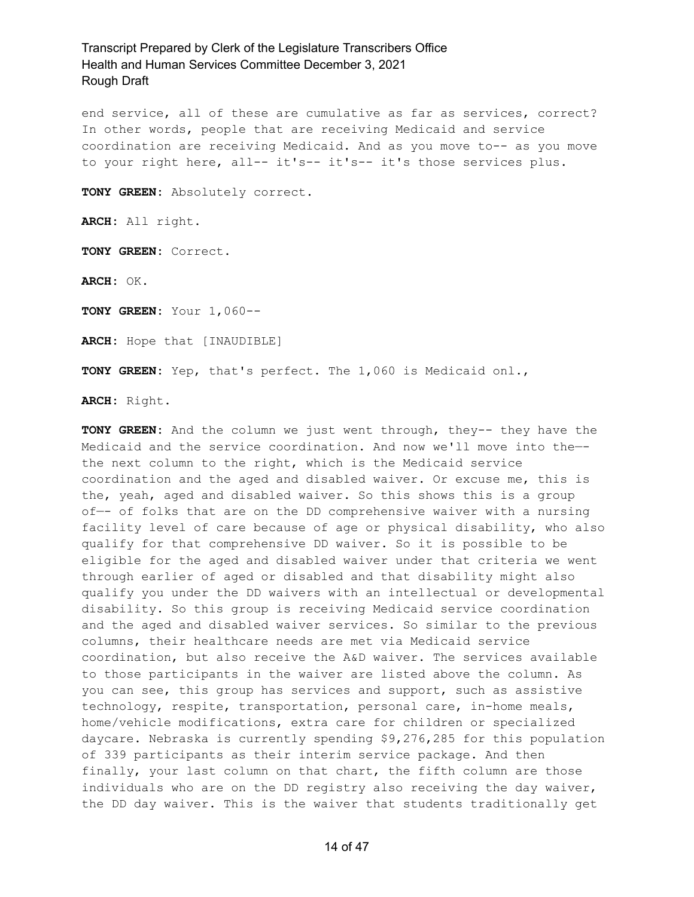end service, all of these are cumulative as far as services, correct? In other words, people that are receiving Medicaid and service coordination are receiving Medicaid. And as you move to-- as you move to your right here, all-- it's-- it's-- it's those services plus.

**TONY GREEN:** Absolutely correct.

**ARCH:** All right.

**TONY GREEN:** Correct.

**ARCH:** OK.

**TONY GREEN:** Your 1,060--

**ARCH:** Hope that [INAUDIBLE]

**TONY GREEN:** Yep, that's perfect. The 1,060 is Medicaid onl.,

**ARCH:** Right.

**TONY GREEN:** And the column we just went through, they-- they have the Medicaid and the service coordination. And now we'll move into the— the next column to the right, which is the Medicaid service coordination and the aged and disabled waiver. Or excuse me, this is the, yeah, aged and disabled waiver. So this shows this is a group of—- of folks that are on the DD comprehensive waiver with a nursing facility level of care because of age or physical disability, who also qualify for that comprehensive DD waiver. So it is possible to be eligible for the aged and disabled waiver under that criteria we went through earlier of aged or disabled and that disability might also qualify you under the DD waivers with an intellectual or developmental disability. So this group is receiving Medicaid service coordination and the aged and disabled waiver services. So similar to the previous columns, their healthcare needs are met via Medicaid service coordination, but also receive the A&D waiver. The services available to those participants in the waiver are listed above the column. As you can see, this group has services and support, such as assistive technology, respite, transportation, personal care, in-home meals, home/vehicle modifications, extra care for children or specialized daycare. Nebraska is currently spending \$9,276,285 for this population of 339 participants as their interim service package. And then finally, your last column on that chart, the fifth column are those individuals who are on the DD registry also receiving the day waiver, the DD day waiver. This is the waiver that students traditionally get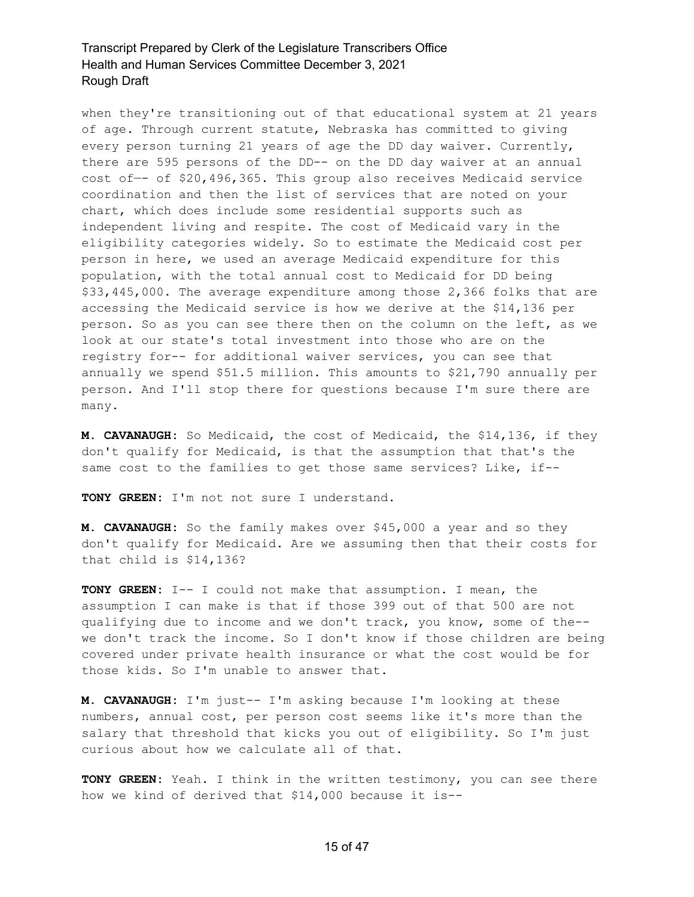when they're transitioning out of that educational system at 21 years of age. Through current statute, Nebraska has committed to giving every person turning 21 years of age the DD day waiver. Currently, there are 595 persons of the DD-- on the DD day waiver at an annual cost of—- of \$20,496,365. This group also receives Medicaid service coordination and then the list of services that are noted on your chart, which does include some residential supports such as independent living and respite. The cost of Medicaid vary in the eligibility categories widely. So to estimate the Medicaid cost per person in here, we used an average Medicaid expenditure for this population, with the total annual cost to Medicaid for DD being \$33,445,000. The average expenditure among those 2,366 folks that are accessing the Medicaid service is how we derive at the \$14,136 per person. So as you can see there then on the column on the left, as we look at our state's total investment into those who are on the registry for-- for additional waiver services, you can see that annually we spend \$51.5 million. This amounts to \$21,790 annually per person. And I'll stop there for questions because I'm sure there are many.

**M. CAVANAUGH:** So Medicaid, the cost of Medicaid, the \$14,136, if they don't qualify for Medicaid, is that the assumption that that's the same cost to the families to get those same services? Like, if--

**TONY GREEN:** I'm not not sure I understand.

**M. CAVANAUGH:** So the family makes over \$45,000 a year and so they don't qualify for Medicaid. Are we assuming then that their costs for that child is \$14,136?

**TONY GREEN:** I-- I could not make that assumption. I mean, the assumption I can make is that if those 399 out of that 500 are not qualifying due to income and we don't track, you know, some of the- we don't track the income. So I don't know if those children are being covered under private health insurance or what the cost would be for those kids. So I'm unable to answer that.

**M. CAVANAUGH:** I'm just-- I'm asking because I'm looking at these numbers, annual cost, per person cost seems like it's more than the salary that threshold that kicks you out of eligibility. So I'm just curious about how we calculate all of that.

**TONY GREEN:** Yeah. I think in the written testimony, you can see there how we kind of derived that \$14,000 because it is--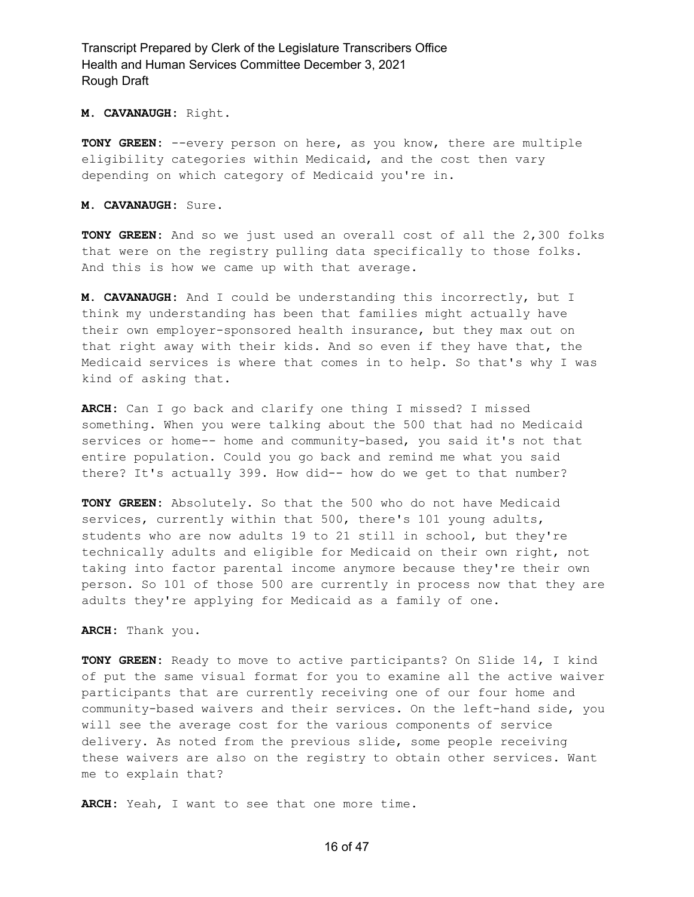#### **M. CAVANAUGH:** Right.

**TONY GREEN:** --every person on here, as you know, there are multiple eligibility categories within Medicaid, and the cost then vary depending on which category of Medicaid you're in.

#### **M. CAVANAUGH:** Sure.

**TONY GREEN:** And so we just used an overall cost of all the 2,300 folks that were on the registry pulling data specifically to those folks. And this is how we came up with that average.

**M. CAVANAUGH:** And I could be understanding this incorrectly, but I think my understanding has been that families might actually have their own employer-sponsored health insurance, but they max out on that right away with their kids. And so even if they have that, the Medicaid services is where that comes in to help. So that's why I was kind of asking that.

**ARCH:** Can I go back and clarify one thing I missed? I missed something. When you were talking about the 500 that had no Medicaid services or home-- home and community-based, you said it's not that entire population. Could you go back and remind me what you said there? It's actually 399. How did-- how do we get to that number?

**TONY GREEN:** Absolutely. So that the 500 who do not have Medicaid services, currently within that 500, there's 101 young adults, students who are now adults 19 to 21 still in school, but they're technically adults and eligible for Medicaid on their own right, not taking into factor parental income anymore because they're their own person. So 101 of those 500 are currently in process now that they are adults they're applying for Medicaid as a family of one.

#### **ARCH:** Thank you.

**TONY GREEN:** Ready to move to active participants? On Slide 14, I kind of put the same visual format for you to examine all the active waiver participants that are currently receiving one of our four home and community-based waivers and their services. On the left-hand side, you will see the average cost for the various components of service delivery. As noted from the previous slide, some people receiving these waivers are also on the registry to obtain other services. Want me to explain that?

**ARCH:** Yeah, I want to see that one more time.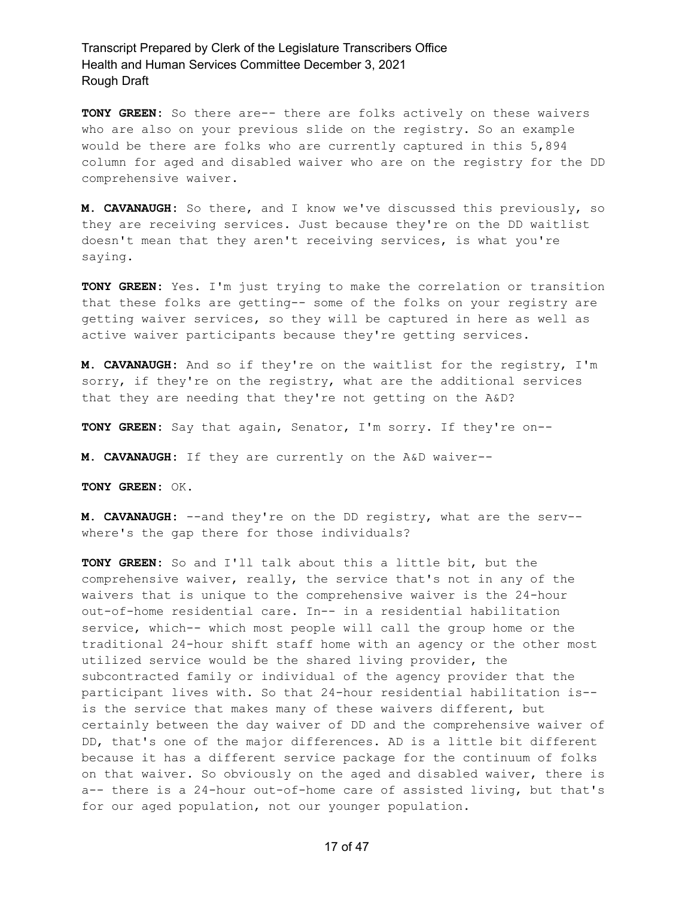**TONY GREEN:** So there are-- there are folks actively on these waivers who are also on your previous slide on the registry. So an example would be there are folks who are currently captured in this 5,894 column for aged and disabled waiver who are on the registry for the DD comprehensive waiver.

**M. CAVANAUGH:** So there, and I know we've discussed this previously, so they are receiving services. Just because they're on the DD waitlist doesn't mean that they aren't receiving services, is what you're saying.

**TONY GREEN:** Yes. I'm just trying to make the correlation or transition that these folks are getting-- some of the folks on your registry are getting waiver services, so they will be captured in here as well as active waiver participants because they're getting services.

**M. CAVANAUGH:** And so if they're on the waitlist for the registry, I'm sorry, if they're on the registry, what are the additional services that they are needing that they're not getting on the A&D?

**TONY GREEN:** Say that again, Senator, I'm sorry. If they're on--

**M. CAVANAUGH:** If they are currently on the A&D waiver--

**TONY GREEN:** OK.

**M. CAVANAUGH:** --and they're on the DD registry, what are the serv- where's the gap there for those individuals?

**TONY GREEN:** So and I'll talk about this a little bit, but the comprehensive waiver, really, the service that's not in any of the waivers that is unique to the comprehensive waiver is the 24-hour out-of-home residential care. In-- in a residential habilitation service, which-- which most people will call the group home or the traditional 24-hour shift staff home with an agency or the other most utilized service would be the shared living provider, the subcontracted family or individual of the agency provider that the participant lives with. So that 24-hour residential habilitation is- is the service that makes many of these waivers different, but certainly between the day waiver of DD and the comprehensive waiver of DD, that's one of the major differences. AD is a little bit different because it has a different service package for the continuum of folks on that waiver. So obviously on the aged and disabled waiver, there is a-- there is a 24-hour out-of-home care of assisted living, but that's for our aged population, not our younger population.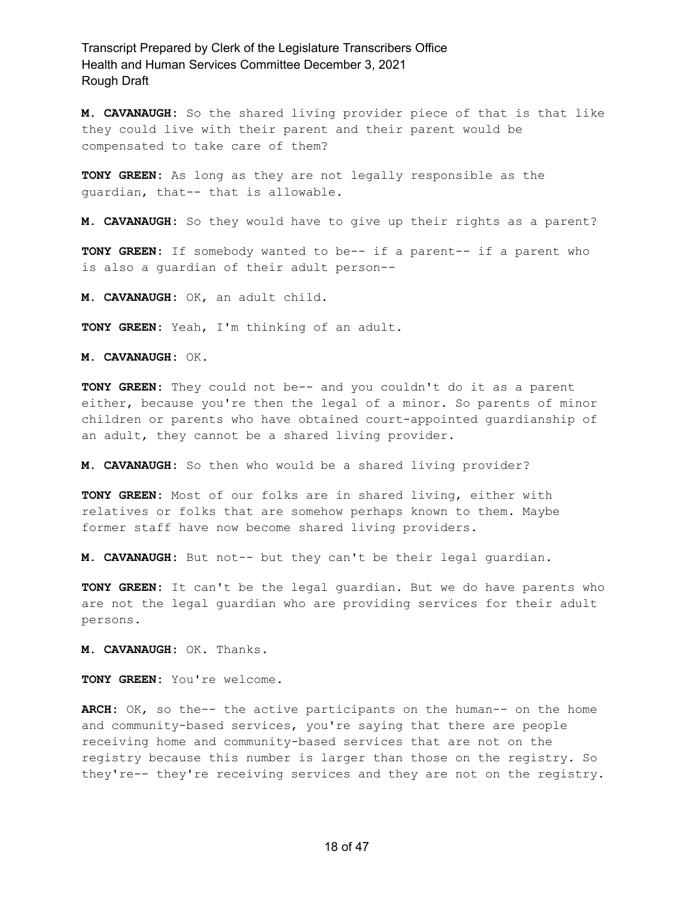**M. CAVANAUGH:** So the shared living provider piece of that is that like they could live with their parent and their parent would be compensated to take care of them?

**TONY GREEN:** As long as they are not legally responsible as the guardian, that-- that is allowable.

**M. CAVANAUGH:** So they would have to give up their rights as a parent?

**TONY GREEN:** If somebody wanted to be-- if a parent-- if a parent who is also a guardian of their adult person--

**M. CAVANAUGH:** OK, an adult child.

**TONY GREEN:** Yeah, I'm thinking of an adult.

**M. CAVANAUGH:** OK.

**TONY GREEN:** They could not be-- and you couldn't do it as a parent either, because you're then the legal of a minor. So parents of minor children or parents who have obtained court-appointed guardianship of an adult, they cannot be a shared living provider.

**M. CAVANAUGH:** So then who would be a shared living provider?

**TONY GREEN:** Most of our folks are in shared living, either with relatives or folks that are somehow perhaps known to them. Maybe former staff have now become shared living providers.

**M. CAVANAUGH:** But not-- but they can't be their legal guardian.

**TONY GREEN:** It can't be the legal guardian. But we do have parents who are not the legal guardian who are providing services for their adult persons.

**M. CAVANAUGH:** OK. Thanks.

**TONY GREEN:** You're welcome.

**ARCH:** OK, so the-- the active participants on the human-- on the home and community-based services, you're saying that there are people receiving home and community-based services that are not on the registry because this number is larger than those on the registry. So they're-- they're receiving services and they are not on the registry.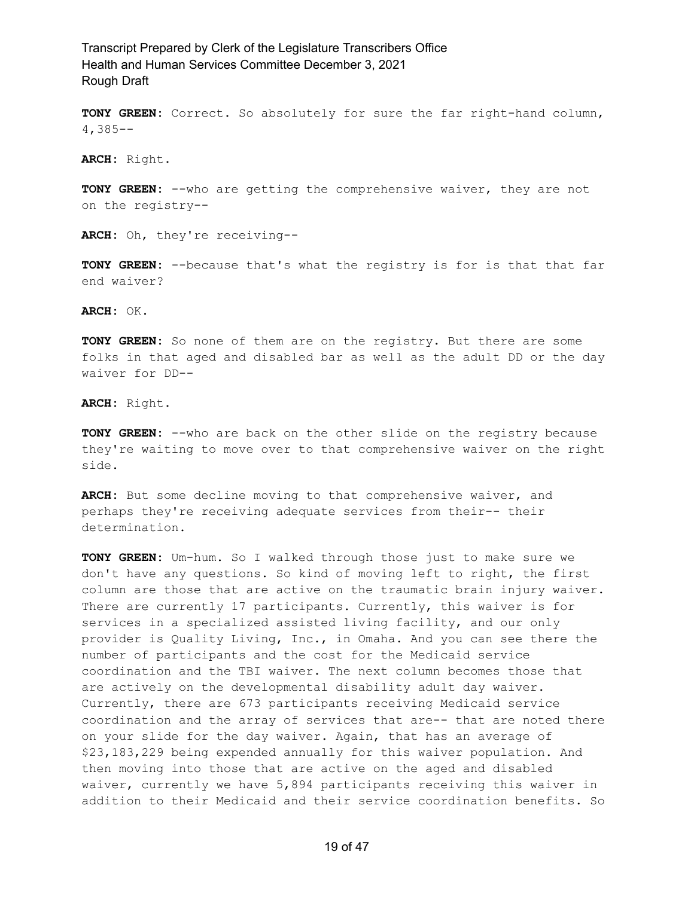**TONY GREEN:** Correct. So absolutely for sure the far right-hand column, 4,385--

**ARCH:** Right.

**TONY GREEN:** --who are getting the comprehensive waiver, they are not on the registry--

**ARCH:** Oh, they're receiving--

**TONY GREEN:** --because that's what the registry is for is that that far end waiver?

**ARCH:** OK.

**TONY GREEN:** So none of them are on the registry. But there are some folks in that aged and disabled bar as well as the adult DD or the day waiver for DD--

**ARCH:** Right.

**TONY GREEN:** --who are back on the other slide on the registry because they're waiting to move over to that comprehensive waiver on the right side.

**ARCH:** But some decline moving to that comprehensive waiver, and perhaps they're receiving adequate services from their-- their determination.

**TONY GREEN:** Um-hum. So I walked through those just to make sure we don't have any questions. So kind of moving left to right, the first column are those that are active on the traumatic brain injury waiver. There are currently 17 participants. Currently, this waiver is for services in a specialized assisted living facility, and our only provider is Quality Living, Inc., in Omaha. And you can see there the number of participants and the cost for the Medicaid service coordination and the TBI waiver. The next column becomes those that are actively on the developmental disability adult day waiver. Currently, there are 673 participants receiving Medicaid service coordination and the array of services that are-- that are noted there on your slide for the day waiver. Again, that has an average of \$23,183,229 being expended annually for this waiver population. And then moving into those that are active on the aged and disabled waiver, currently we have 5,894 participants receiving this waiver in addition to their Medicaid and their service coordination benefits. So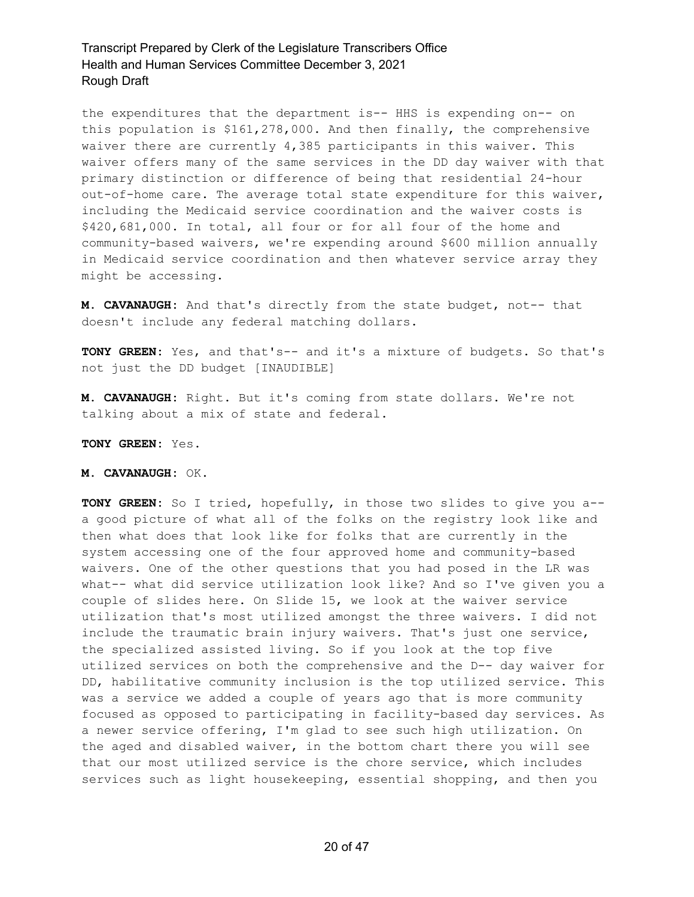the expenditures that the department is-- HHS is expending on-- on this population is \$161,278,000. And then finally, the comprehensive waiver there are currently 4,385 participants in this waiver. This waiver offers many of the same services in the DD day waiver with that primary distinction or difference of being that residential 24-hour out-of-home care. The average total state expenditure for this waiver, including the Medicaid service coordination and the waiver costs is \$420,681,000. In total, all four or for all four of the home and community-based waivers, we're expending around \$600 million annually in Medicaid service coordination and then whatever service array they might be accessing.

**M. CAVANAUGH:** And that's directly from the state budget, not-- that doesn't include any federal matching dollars.

**TONY GREEN:** Yes, and that's-- and it's a mixture of budgets. So that's not just the DD budget [INAUDIBLE]

**M. CAVANAUGH:** Right. But it's coming from state dollars. We're not talking about a mix of state and federal.

#### **TONY GREEN:** Yes.

#### **M. CAVANAUGH:** OK.

**TONY GREEN:** So I tried, hopefully, in those two slides to give you a- a good picture of what all of the folks on the registry look like and then what does that look like for folks that are currently in the system accessing one of the four approved home and community-based waivers. One of the other questions that you had posed in the LR was what-- what did service utilization look like? And so I've given you a couple of slides here. On Slide 15, we look at the waiver service utilization that's most utilized amongst the three waivers. I did not include the traumatic brain injury waivers. That's just one service, the specialized assisted living. So if you look at the top five utilized services on both the comprehensive and the D-- day waiver for DD, habilitative community inclusion is the top utilized service. This was a service we added a couple of years ago that is more community focused as opposed to participating in facility-based day services. As a newer service offering, I'm glad to see such high utilization. On the aged and disabled waiver, in the bottom chart there you will see that our most utilized service is the chore service, which includes services such as light housekeeping, essential shopping, and then you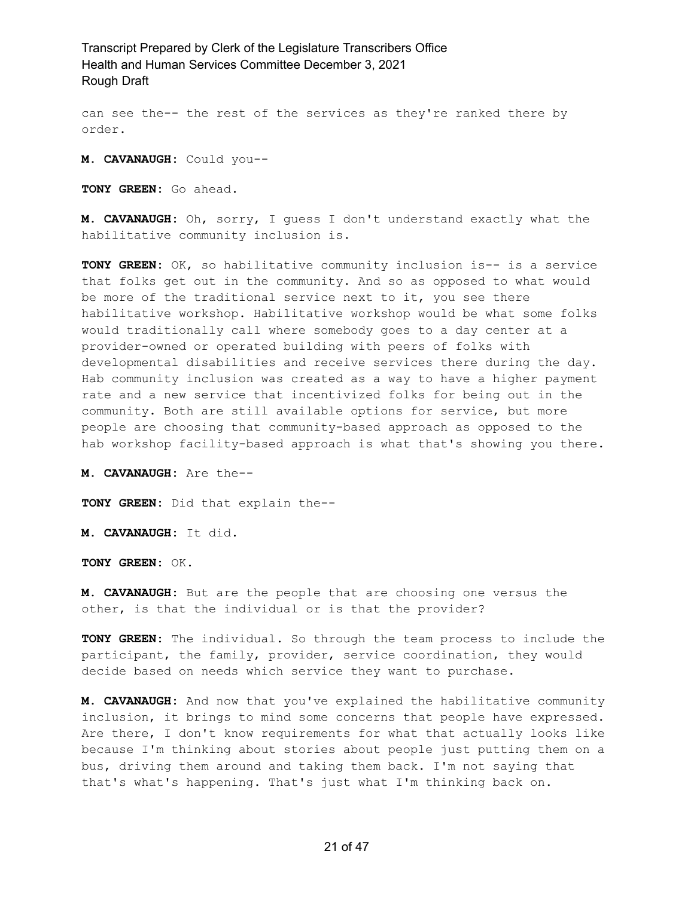can see the-- the rest of the services as they're ranked there by order.

**M. CAVANAUGH:** Could you--

**TONY GREEN:** Go ahead.

**M. CAVANAUGH:** Oh, sorry, I guess I don't understand exactly what the habilitative community inclusion is.

**TONY GREEN:** OK, so habilitative community inclusion is-- is a service that folks get out in the community. And so as opposed to what would be more of the traditional service next to it, you see there habilitative workshop. Habilitative workshop would be what some folks would traditionally call where somebody goes to a day center at a provider-owned or operated building with peers of folks with developmental disabilities and receive services there during the day. Hab community inclusion was created as a way to have a higher payment rate and a new service that incentivized folks for being out in the community. Both are still available options for service, but more people are choosing that community-based approach as opposed to the hab workshop facility-based approach is what that's showing you there.

**M. CAVANAUGH:** Are the--

**TONY GREEN:** Did that explain the--

**M. CAVANAUGH:** It did.

**TONY GREEN:** OK.

**M. CAVANAUGH:** But are the people that are choosing one versus the other, is that the individual or is that the provider?

**TONY GREEN:** The individual. So through the team process to include the participant, the family, provider, service coordination, they would decide based on needs which service they want to purchase.

**M. CAVANAUGH:** And now that you've explained the habilitative community inclusion, it brings to mind some concerns that people have expressed. Are there, I don't know requirements for what that actually looks like because I'm thinking about stories about people just putting them on a bus, driving them around and taking them back. I'm not saying that that's what's happening. That's just what I'm thinking back on.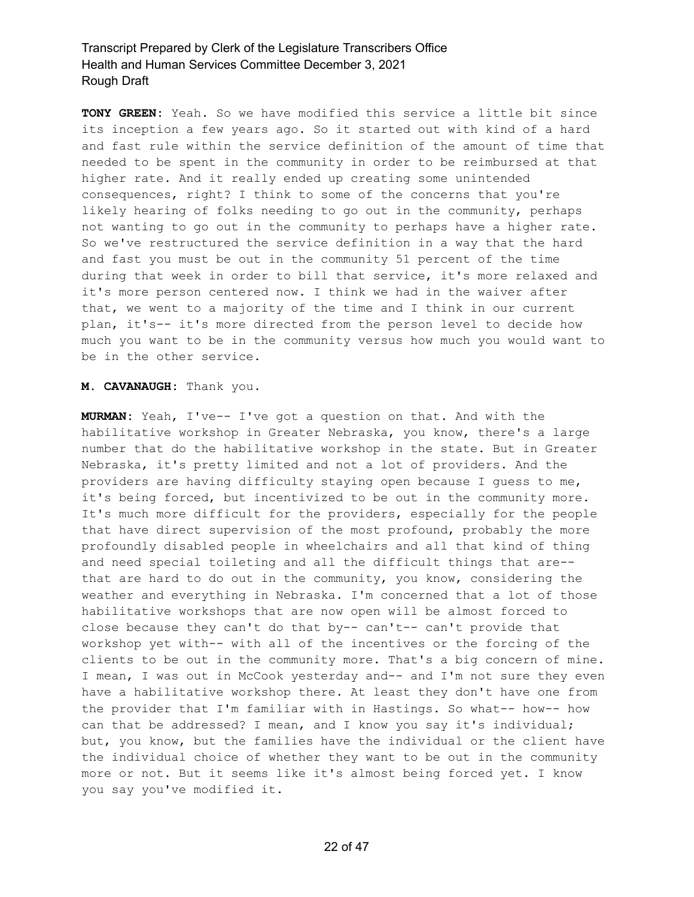**TONY GREEN:** Yeah. So we have modified this service a little bit since its inception a few years ago. So it started out with kind of a hard and fast rule within the service definition of the amount of time that needed to be spent in the community in order to be reimbursed at that higher rate. And it really ended up creating some unintended consequences, right? I think to some of the concerns that you're likely hearing of folks needing to go out in the community, perhaps not wanting to go out in the community to perhaps have a higher rate. So we've restructured the service definition in a way that the hard and fast you must be out in the community 51 percent of the time during that week in order to bill that service, it's more relaxed and it's more person centered now. I think we had in the waiver after that, we went to a majority of the time and I think in our current plan, it's-- it's more directed from the person level to decide how much you want to be in the community versus how much you would want to be in the other service.

#### **M. CAVANAUGH:** Thank you.

**MURMAN:** Yeah, I've-- I've got a question on that. And with the habilitative workshop in Greater Nebraska, you know, there's a large number that do the habilitative workshop in the state. But in Greater Nebraska, it's pretty limited and not a lot of providers. And the providers are having difficulty staying open because I guess to me, it's being forced, but incentivized to be out in the community more. It's much more difficult for the providers, especially for the people that have direct supervision of the most profound, probably the more profoundly disabled people in wheelchairs and all that kind of thing and need special toileting and all the difficult things that are- that are hard to do out in the community, you know, considering the weather and everything in Nebraska. I'm concerned that a lot of those habilitative workshops that are now open will be almost forced to close because they can't do that by-- can't-- can't provide that workshop yet with-- with all of the incentives or the forcing of the clients to be out in the community more. That's a big concern of mine. I mean, I was out in McCook yesterday and-- and I'm not sure they even have a habilitative workshop there. At least they don't have one from the provider that I'm familiar with in Hastings. So what-- how-- how can that be addressed? I mean, and I know you say it's individual; but, you know, but the families have the individual or the client have the individual choice of whether they want to be out in the community more or not. But it seems like it's almost being forced yet. I know you say you've modified it.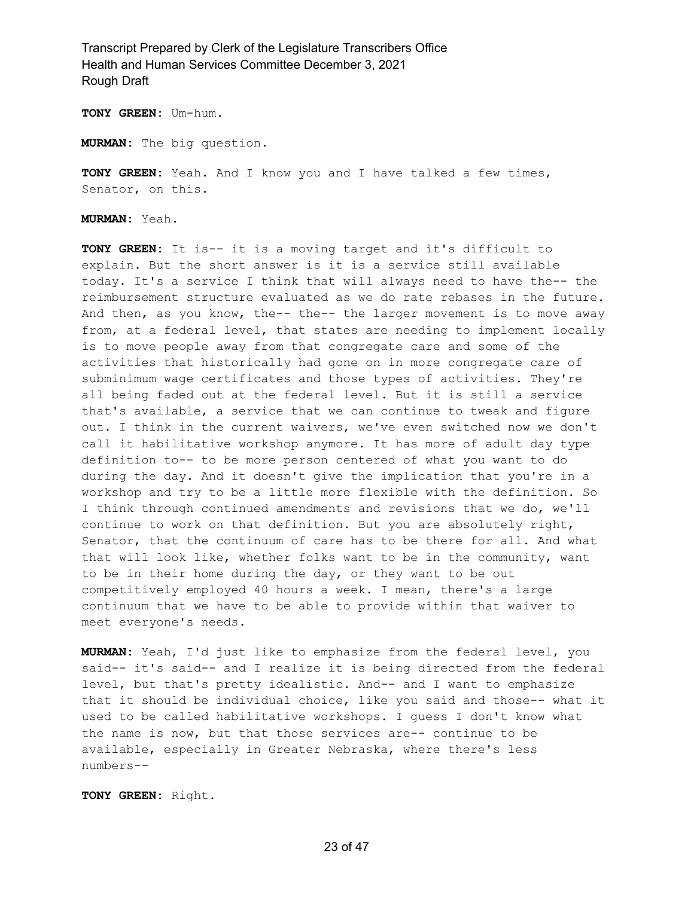**TONY GREEN:** Um-hum.

**MURMAN:** The big question.

**TONY GREEN:** Yeah. And I know you and I have talked a few times, Senator, on this.

**MURMAN:** Yeah.

**TONY GREEN:** It is-- it is a moving target and it's difficult to explain. But the short answer is it is a service still available today. It's a service I think that will always need to have the-- the reimbursement structure evaluated as we do rate rebases in the future. And then, as you know, the-- the-- the larger movement is to move away from, at a federal level, that states are needing to implement locally is to move people away from that congregate care and some of the activities that historically had gone on in more congregate care of subminimum wage certificates and those types of activities. They're all being faded out at the federal level. But it is still a service that's available, a service that we can continue to tweak and figure out. I think in the current waivers, we've even switched now we don't call it habilitative workshop anymore. It has more of adult day type definition to-- to be more person centered of what you want to do during the day. And it doesn't give the implication that you're in a workshop and try to be a little more flexible with the definition. So I think through continued amendments and revisions that we do, we'll continue to work on that definition. But you are absolutely right, Senator, that the continuum of care has to be there for all. And what that will look like, whether folks want to be in the community, want to be in their home during the day, or they want to be out competitively employed 40 hours a week. I mean, there's a large continuum that we have to be able to provide within that waiver to meet everyone's needs.

**MURMAN:** Yeah, I'd just like to emphasize from the federal level, you said-- it's said-- and I realize it is being directed from the federal level, but that's pretty idealistic. And-- and I want to emphasize that it should be individual choice, like you said and those-- what it used to be called habilitative workshops. I guess I don't know what the name is now, but that those services are-- continue to be available, especially in Greater Nebraska, where there's less numbers--

**TONY GREEN:** Right.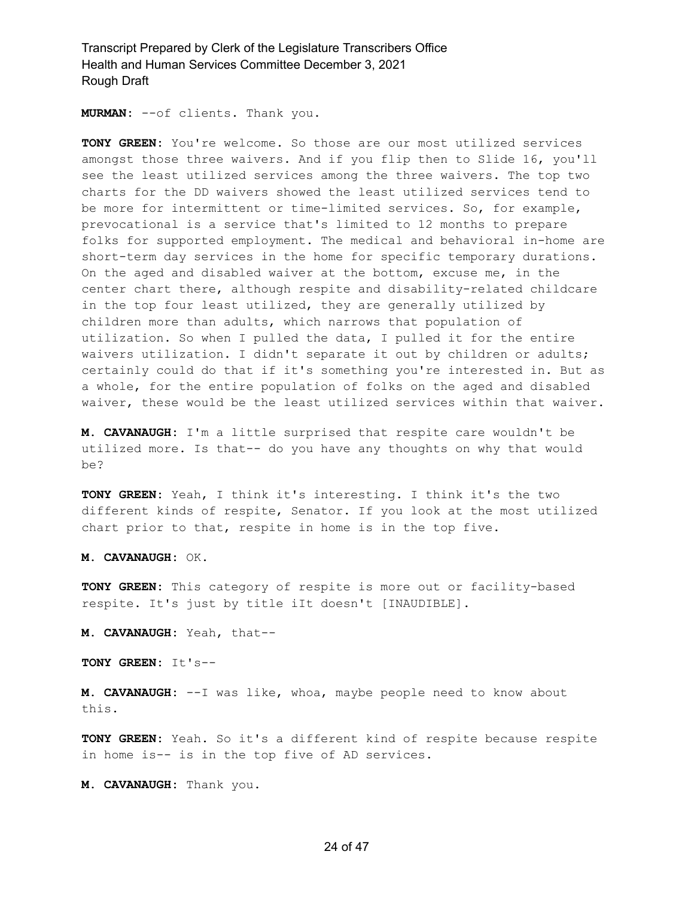**MURMAN:** --of clients. Thank you.

**TONY GREEN:** You're welcome. So those are our most utilized services amongst those three waivers. And if you flip then to Slide 16, you'll see the least utilized services among the three waivers. The top two charts for the DD waivers showed the least utilized services tend to be more for intermittent or time-limited services. So, for example, prevocational is a service that's limited to 12 months to prepare folks for supported employment. The medical and behavioral in-home are short-term day services in the home for specific temporary durations. On the aged and disabled waiver at the bottom, excuse me, in the center chart there, although respite and disability-related childcare in the top four least utilized, they are generally utilized by children more than adults, which narrows that population of utilization. So when I pulled the data, I pulled it for the entire waivers utilization. I didn't separate it out by children or adults; certainly could do that if it's something you're interested in. But as a whole, for the entire population of folks on the aged and disabled waiver, these would be the least utilized services within that waiver.

**M. CAVANAUGH:** I'm a little surprised that respite care wouldn't be utilized more. Is that-- do you have any thoughts on why that would be?

**TONY GREEN:** Yeah, I think it's interesting. I think it's the two different kinds of respite, Senator. If you look at the most utilized chart prior to that, respite in home is in the top five.

**M. CAVANAUGH:** OK.

**TONY GREEN:** This category of respite is more out or facility-based respite. It's just by title iIt doesn't [INAUDIBLE].

**M. CAVANAUGH:** Yeah, that--

**TONY GREEN:** It's--

**M. CAVANAUGH:** --I was like, whoa, maybe people need to know about this.

**TONY GREEN:** Yeah. So it's a different kind of respite because respite in home is-- is in the top five of AD services.

**M. CAVANAUGH:** Thank you.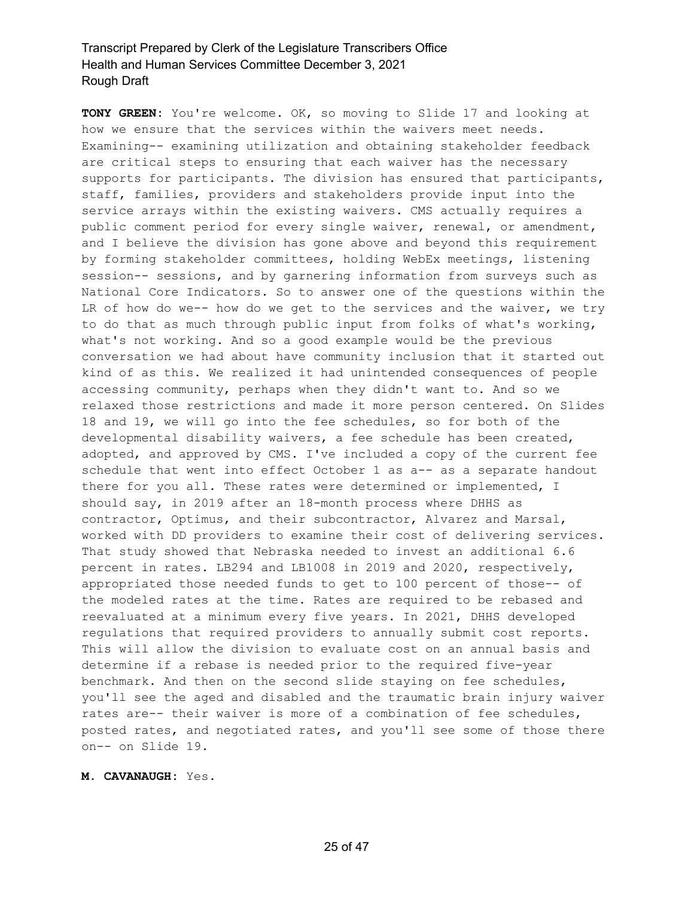**TONY GREEN:** You're welcome. OK, so moving to Slide 17 and looking at how we ensure that the services within the waivers meet needs. Examining-- examining utilization and obtaining stakeholder feedback are critical steps to ensuring that each waiver has the necessary supports for participants. The division has ensured that participants, staff, families, providers and stakeholders provide input into the service arrays within the existing waivers. CMS actually requires a public comment period for every single waiver, renewal, or amendment, and I believe the division has gone above and beyond this requirement by forming stakeholder committees, holding WebEx meetings, listening session-- sessions, and by garnering information from surveys such as National Core Indicators. So to answer one of the questions within the LR of how do we-- how do we get to the services and the waiver, we try to do that as much through public input from folks of what's working, what's not working. And so a good example would be the previous conversation we had about have community inclusion that it started out kind of as this. We realized it had unintended consequences of people accessing community, perhaps when they didn't want to. And so we relaxed those restrictions and made it more person centered. On Slides 18 and 19, we will go into the fee schedules, so for both of the developmental disability waivers, a fee schedule has been created, adopted, and approved by CMS. I've included a copy of the current fee schedule that went into effect October 1 as a-- as a separate handout there for you all. These rates were determined or implemented, I should say, in 2019 after an 18-month process where DHHS as contractor, Optimus, and their subcontractor, Alvarez and Marsal, worked with DD providers to examine their cost of delivering services. That study showed that Nebraska needed to invest an additional 6.6 percent in rates. LB294 and LB1008 in 2019 and 2020, respectively, appropriated those needed funds to get to 100 percent of those-- of the modeled rates at the time. Rates are required to be rebased and reevaluated at a minimum every five years. In 2021, DHHS developed regulations that required providers to annually submit cost reports. This will allow the division to evaluate cost on an annual basis and determine if a rebase is needed prior to the required five-year benchmark. And then on the second slide staying on fee schedules, you'll see the aged and disabled and the traumatic brain injury waiver rates are-- their waiver is more of a combination of fee schedules, posted rates, and negotiated rates, and you'll see some of those there on-- on Slide 19.

#### **M. CAVANAUGH:** Yes.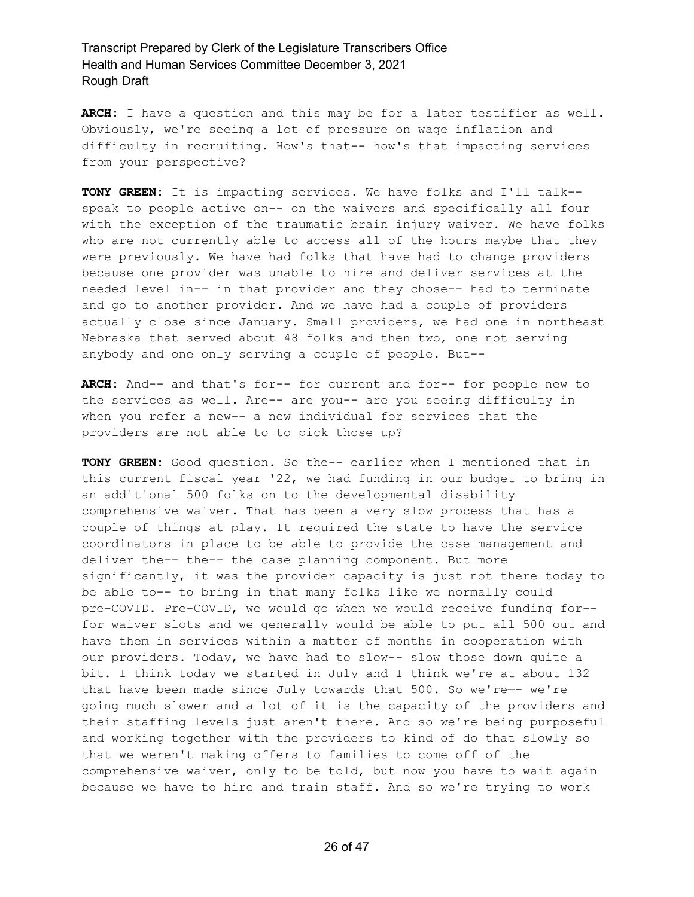**ARCH:** I have a question and this may be for a later testifier as well. Obviously, we're seeing a lot of pressure on wage inflation and difficulty in recruiting. How's that-- how's that impacting services from your perspective?

**TONY GREEN:** It is impacting services. We have folks and I'll talk- speak to people active on-- on the waivers and specifically all four with the exception of the traumatic brain injury waiver. We have folks who are not currently able to access all of the hours maybe that they were previously. We have had folks that have had to change providers because one provider was unable to hire and deliver services at the needed level in-- in that provider and they chose-- had to terminate and go to another provider. And we have had a couple of providers actually close since January. Small providers, we had one in northeast Nebraska that served about 48 folks and then two, one not serving anybody and one only serving a couple of people. But--

**ARCH:** And-- and that's for-- for current and for-- for people new to the services as well. Are-- are you-- are you seeing difficulty in when you refer a new-- a new individual for services that the providers are not able to to pick those up?

**TONY GREEN:** Good question. So the-- earlier when I mentioned that in this current fiscal year '22, we had funding in our budget to bring in an additional 500 folks on to the developmental disability comprehensive waiver. That has been a very slow process that has a couple of things at play. It required the state to have the service coordinators in place to be able to provide the case management and deliver the-- the-- the case planning component. But more significantly, it was the provider capacity is just not there today to be able to-- to bring in that many folks like we normally could pre-COVID. Pre-COVID, we would go when we would receive funding for- for waiver slots and we generally would be able to put all 500 out and have them in services within a matter of months in cooperation with our providers. Today, we have had to slow-- slow those down quite a bit. I think today we started in July and I think we're at about 132 that have been made since July towards that 500. So we're—- we're going much slower and a lot of it is the capacity of the providers and their staffing levels just aren't there. And so we're being purposeful and working together with the providers to kind of do that slowly so that we weren't making offers to families to come off of the comprehensive waiver, only to be told, but now you have to wait again because we have to hire and train staff. And so we're trying to work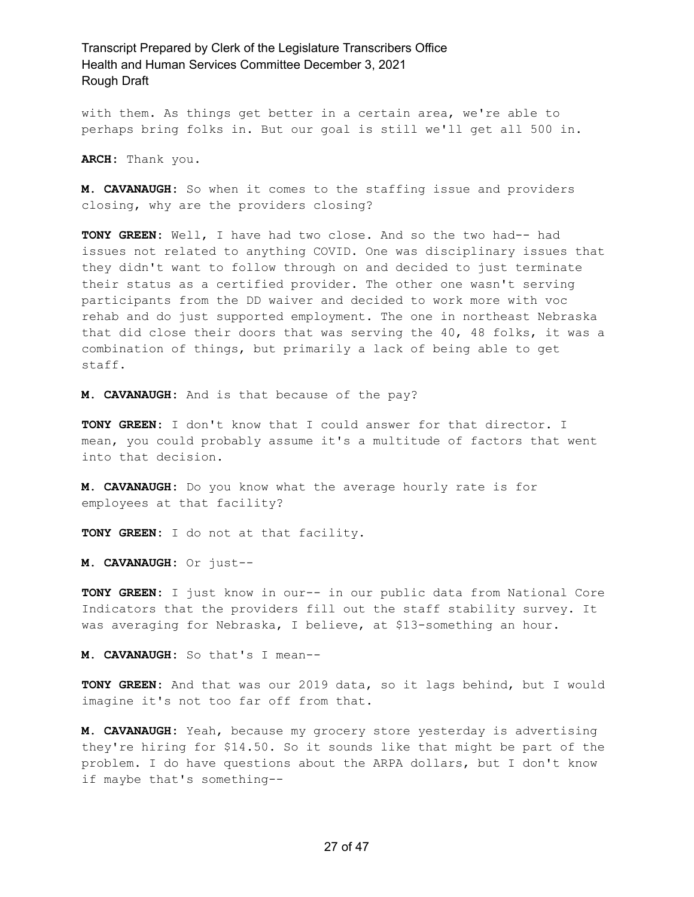with them. As things get better in a certain area, we're able to perhaps bring folks in. But our goal is still we'll get all 500 in.

**ARCH:** Thank you.

**M. CAVANAUGH:** So when it comes to the staffing issue and providers closing, why are the providers closing?

**TONY GREEN:** Well, I have had two close. And so the two had-- had issues not related to anything COVID. One was disciplinary issues that they didn't want to follow through on and decided to just terminate their status as a certified provider. The other one wasn't serving participants from the DD waiver and decided to work more with voc rehab and do just supported employment. The one in northeast Nebraska that did close their doors that was serving the 40, 48 folks, it was a combination of things, but primarily a lack of being able to get staff.

**M. CAVANAUGH:** And is that because of the pay?

**TONY GREEN:** I don't know that I could answer for that director. I mean, you could probably assume it's a multitude of factors that went into that decision.

**M. CAVANAUGH:** Do you know what the average hourly rate is for employees at that facility?

**TONY GREEN:** I do not at that facility.

**M. CAVANAUGH:** Or just--

**TONY GREEN:** I just know in our-- in our public data from National Core Indicators that the providers fill out the staff stability survey. It was averaging for Nebraska, I believe, at \$13-something an hour.

**M. CAVANAUGH:** So that's I mean--

**TONY GREEN:** And that was our 2019 data, so it lags behind, but I would imagine it's not too far off from that.

**M. CAVANAUGH:** Yeah, because my grocery store yesterday is advertising they're hiring for \$14.50. So it sounds like that might be part of the problem. I do have questions about the ARPA dollars, but I don't know if maybe that's something--

#### 27 of 47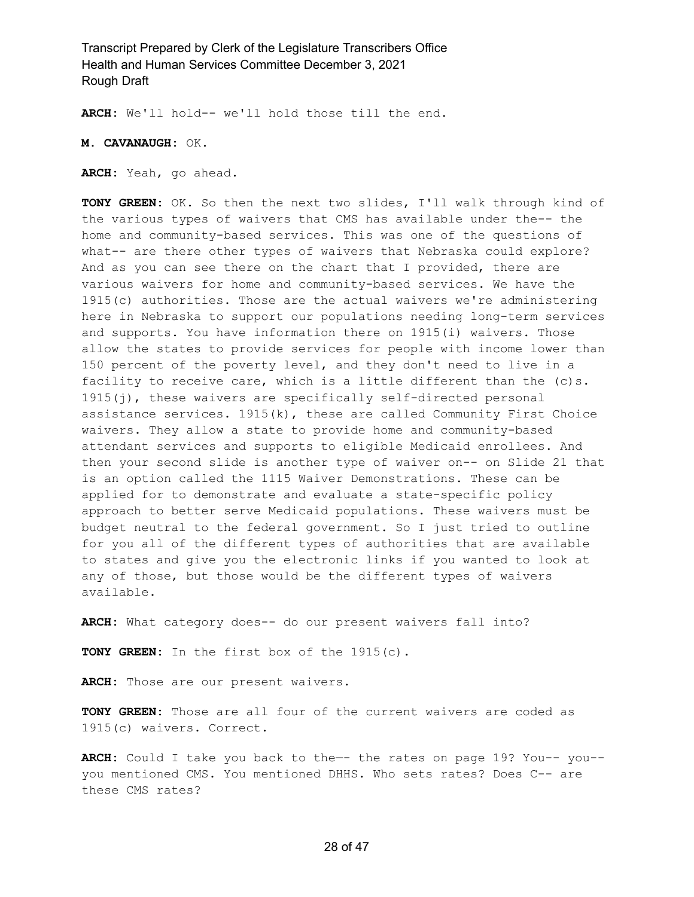**ARCH:** We'll hold-- we'll hold those till the end.

**M. CAVANAUGH:** OK.

**ARCH:** Yeah, go ahead.

**TONY GREEN:** OK. So then the next two slides, I'll walk through kind of the various types of waivers that CMS has available under the-- the home and community-based services. This was one of the questions of what-- are there other types of waivers that Nebraska could explore? And as you can see there on the chart that I provided, there are various waivers for home and community-based services. We have the 1915(c) authorities. Those are the actual waivers we're administering here in Nebraska to support our populations needing long-term services and supports. You have information there on 1915(i) waivers. Those allow the states to provide services for people with income lower than 150 percent of the poverty level, and they don't need to live in a facility to receive care, which is a little different than the (c)s. 1915(j), these waivers are specifically self-directed personal assistance services.  $1915(k)$ , these are called Community First Choice waivers. They allow a state to provide home and community-based attendant services and supports to eligible Medicaid enrollees. And then your second slide is another type of waiver on-- on Slide 21 that is an option called the 1115 Waiver Demonstrations. These can be applied for to demonstrate and evaluate a state-specific policy approach to better serve Medicaid populations. These waivers must be budget neutral to the federal government. So I just tried to outline for you all of the different types of authorities that are available to states and give you the electronic links if you wanted to look at any of those, but those would be the different types of waivers available.

**ARCH:** What category does-- do our present waivers fall into?

**TONY GREEN:** In the first box of the 1915(c).

**ARCH:** Those are our present waivers.

**TONY GREEN:** Those are all four of the current waivers are coded as 1915(c) waivers. Correct.

**ARCH:** Could I take you back to the—- the rates on page 19? You-- you- you mentioned CMS. You mentioned DHHS. Who sets rates? Does C-- are these CMS rates?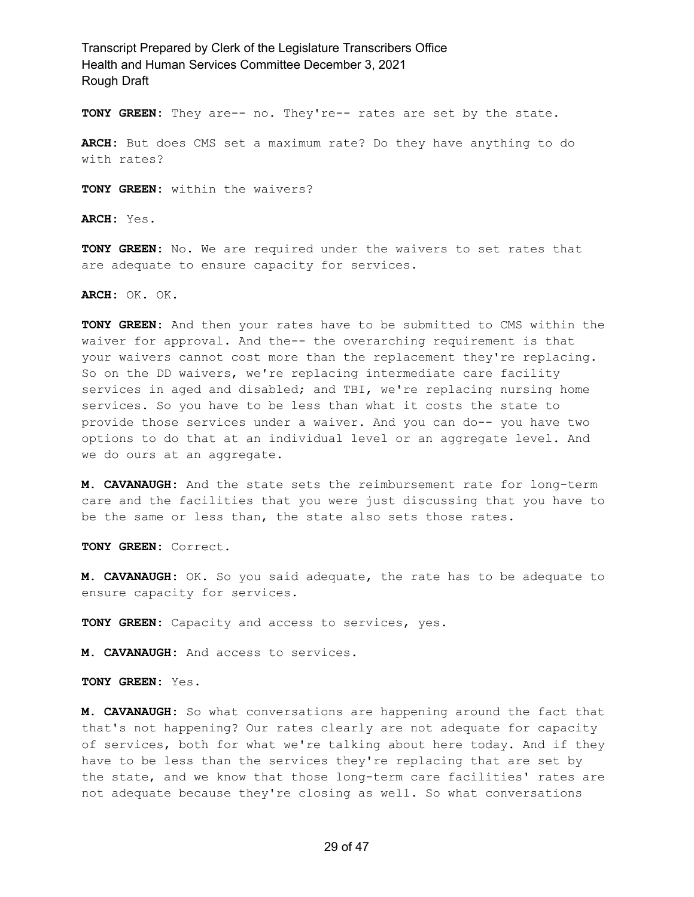**TONY GREEN:** They are-- no. They're-- rates are set by the state.

**ARCH:** But does CMS set a maximum rate? Do they have anything to do with rates?

**TONY GREEN:** within the waivers?

**ARCH:** Yes.

**TONY GREEN:** No. We are required under the waivers to set rates that are adequate to ensure capacity for services.

**ARCH:** OK. OK.

**TONY GREEN:** And then your rates have to be submitted to CMS within the waiver for approval. And the-- the overarching requirement is that your waivers cannot cost more than the replacement they're replacing. So on the DD waivers, we're replacing intermediate care facility services in aged and disabled; and TBI, we're replacing nursing home services. So you have to be less than what it costs the state to provide those services under a waiver. And you can do-- you have two options to do that at an individual level or an aggregate level. And we do ours at an aggregate.

**M. CAVANAUGH:** And the state sets the reimbursement rate for long-term care and the facilities that you were just discussing that you have to be the same or less than, the state also sets those rates.

**TONY GREEN:** Correct.

**M. CAVANAUGH:** OK. So you said adequate, the rate has to be adequate to ensure capacity for services.

**TONY GREEN:** Capacity and access to services, yes.

**M. CAVANAUGH:** And access to services.

**TONY GREEN:** Yes.

**M. CAVANAUGH:** So what conversations are happening around the fact that that's not happening? Our rates clearly are not adequate for capacity of services, both for what we're talking about here today. And if they have to be less than the services they're replacing that are set by the state, and we know that those long-term care facilities' rates are not adequate because they're closing as well. So what conversations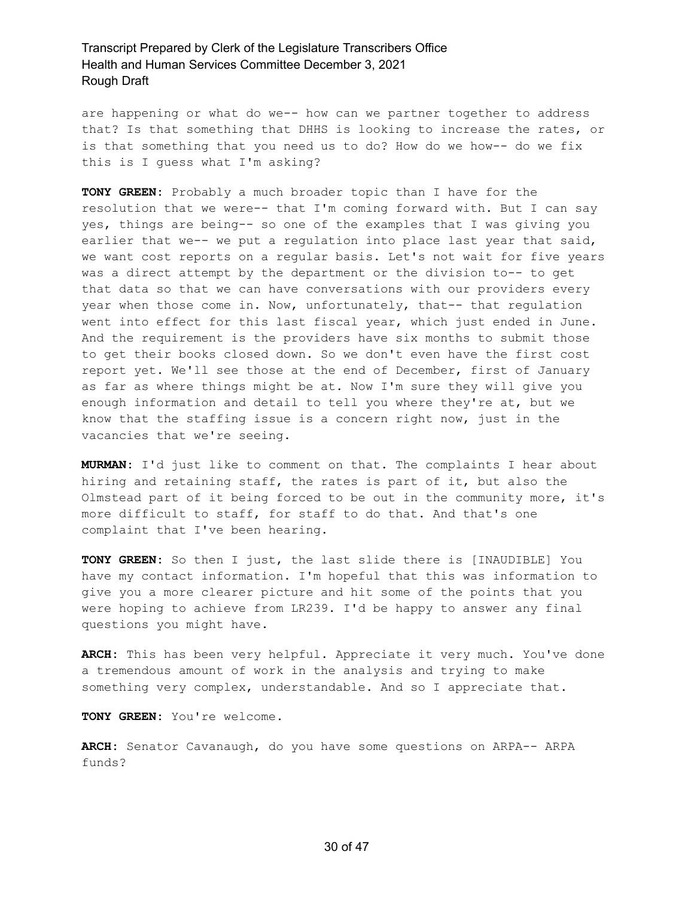are happening or what do we-- how can we partner together to address that? Is that something that DHHS is looking to increase the rates, or is that something that you need us to do? How do we how-- do we fix this is I guess what I'm asking?

**TONY GREEN:** Probably a much broader topic than I have for the resolution that we were-- that I'm coming forward with. But I can say yes, things are being-- so one of the examples that I was giving you earlier that we-- we put a regulation into place last year that said, we want cost reports on a regular basis. Let's not wait for five years was a direct attempt by the department or the division to-- to get that data so that we can have conversations with our providers every year when those come in. Now, unfortunately, that-- that regulation went into effect for this last fiscal year, which just ended in June. And the requirement is the providers have six months to submit those to get their books closed down. So we don't even have the first cost report yet. We'll see those at the end of December, first of January as far as where things might be at. Now I'm sure they will give you enough information and detail to tell you where they're at, but we know that the staffing issue is a concern right now, just in the vacancies that we're seeing.

**MURMAN:** I'd just like to comment on that. The complaints I hear about hiring and retaining staff, the rates is part of it, but also the Olmstead part of it being forced to be out in the community more, it's more difficult to staff, for staff to do that. And that's one complaint that I've been hearing.

**TONY GREEN:** So then I just, the last slide there is [INAUDIBLE] You have my contact information. I'm hopeful that this was information to give you a more clearer picture and hit some of the points that you were hoping to achieve from LR239. I'd be happy to answer any final questions you might have.

**ARCH:** This has been very helpful. Appreciate it very much. You've done a tremendous amount of work in the analysis and trying to make something very complex, understandable. And so I appreciate that.

**TONY GREEN:** You're welcome.

**ARCH:** Senator Cavanaugh, do you have some questions on ARPA-- ARPA funds?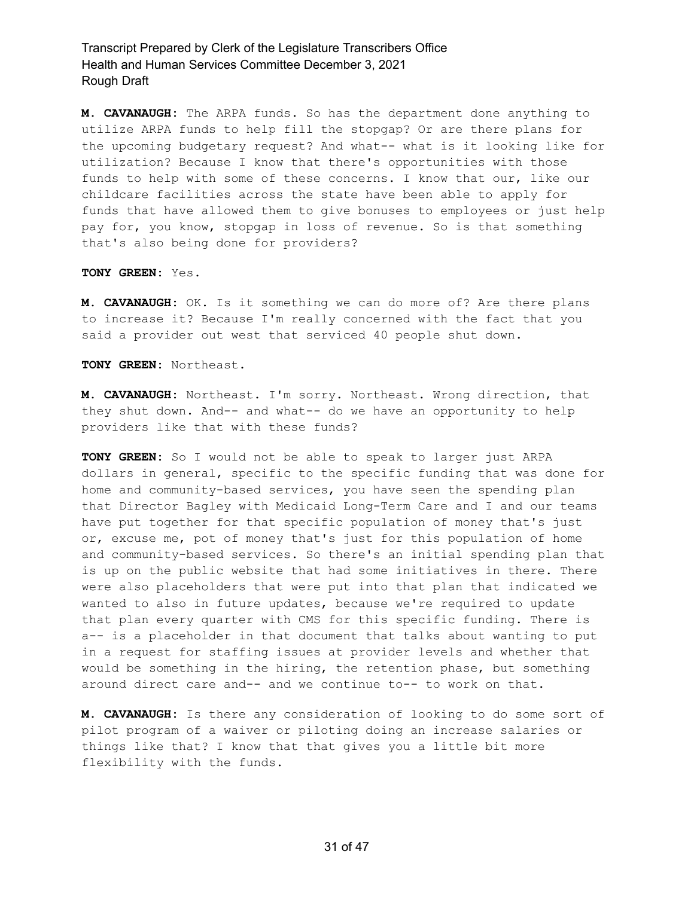**M. CAVANAUGH:** The ARPA funds. So has the department done anything to utilize ARPA funds to help fill the stopgap? Or are there plans for the upcoming budgetary request? And what-- what is it looking like for utilization? Because I know that there's opportunities with those funds to help with some of these concerns. I know that our, like our childcare facilities across the state have been able to apply for funds that have allowed them to give bonuses to employees or just help pay for, you know, stopgap in loss of revenue. So is that something that's also being done for providers?

#### **TONY GREEN:** Yes.

**M. CAVANAUGH:** OK. Is it something we can do more of? Are there plans to increase it? Because I'm really concerned with the fact that you said a provider out west that serviced 40 people shut down.

**TONY GREEN:** Northeast.

**M. CAVANAUGH:** Northeast. I'm sorry. Northeast. Wrong direction, that they shut down. And-- and what-- do we have an opportunity to help providers like that with these funds?

**TONY GREEN:** So I would not be able to speak to larger just ARPA dollars in general, specific to the specific funding that was done for home and community-based services, you have seen the spending plan that Director Bagley with Medicaid Long-Term Care and I and our teams have put together for that specific population of money that's just or, excuse me, pot of money that's just for this population of home and community-based services. So there's an initial spending plan that is up on the public website that had some initiatives in there. There were also placeholders that were put into that plan that indicated we wanted to also in future updates, because we're required to update that plan every quarter with CMS for this specific funding. There is a-- is a placeholder in that document that talks about wanting to put in a request for staffing issues at provider levels and whether that would be something in the hiring, the retention phase, but something around direct care and-- and we continue to-- to work on that.

**M. CAVANAUGH:** Is there any consideration of looking to do some sort of pilot program of a waiver or piloting doing an increase salaries or things like that? I know that that gives you a little bit more flexibility with the funds.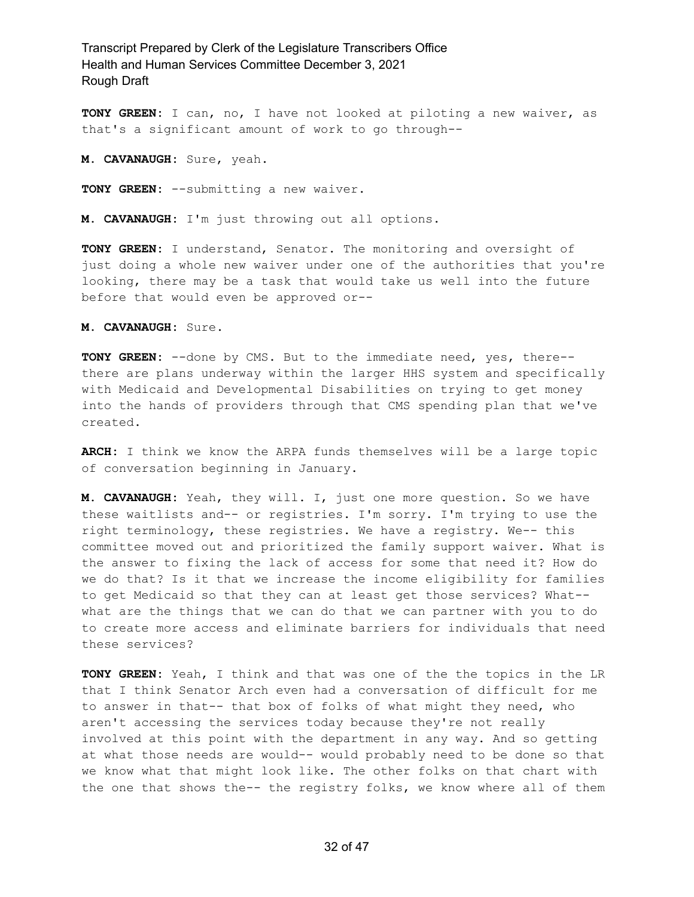**TONY GREEN:** I can, no, I have not looked at piloting a new waiver, as that's a significant amount of work to go through--

**M. CAVANAUGH:** Sure, yeah.

**TONY GREEN:** --submitting a new waiver.

**M. CAVANAUGH:** I'm just throwing out all options.

**TONY GREEN:** I understand, Senator. The monitoring and oversight of just doing a whole new waiver under one of the authorities that you're looking, there may be a task that would take us well into the future before that would even be approved or--

**M. CAVANAUGH:** Sure.

**TONY GREEN:** --done by CMS. But to the immediate need, yes, there- there are plans underway within the larger HHS system and specifically with Medicaid and Developmental Disabilities on trying to get money into the hands of providers through that CMS spending plan that we've created.

**ARCH:** I think we know the ARPA funds themselves will be a large topic of conversation beginning in January.

**M. CAVANAUGH:** Yeah, they will. I, just one more question. So we have these waitlists and-- or registries. I'm sorry. I'm trying to use the right terminology, these registries. We have a registry. We-- this committee moved out and prioritized the family support waiver. What is the answer to fixing the lack of access for some that need it? How do we do that? Is it that we increase the income eligibility for families to get Medicaid so that they can at least get those services? What- what are the things that we can do that we can partner with you to do to create more access and eliminate barriers for individuals that need these services?

**TONY GREEN:** Yeah, I think and that was one of the the topics in the LR that I think Senator Arch even had a conversation of difficult for me to answer in that-- that box of folks of what might they need, who aren't accessing the services today because they're not really involved at this point with the department in any way. And so getting at what those needs are would-- would probably need to be done so that we know what that might look like. The other folks on that chart with the one that shows the-- the registry folks, we know where all of them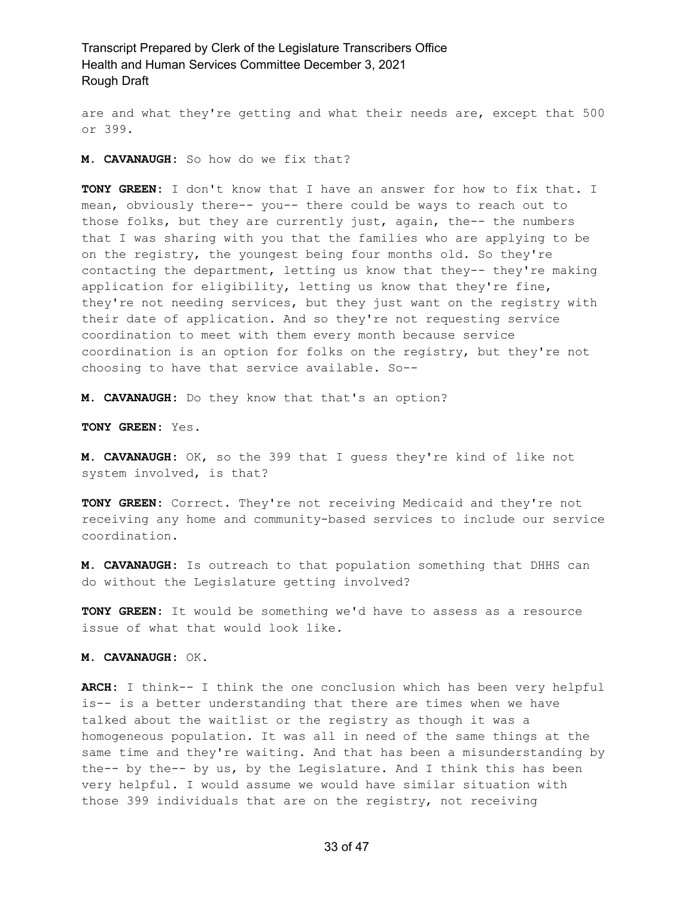are and what they're getting and what their needs are, except that 500 or 399.

**M. CAVANAUGH:** So how do we fix that?

**TONY GREEN:** I don't know that I have an answer for how to fix that. I mean, obviously there-- you-- there could be ways to reach out to those folks, but they are currently just, again, the-- the numbers that I was sharing with you that the families who are applying to be on the registry, the youngest being four months old. So they're contacting the department, letting us know that they-- they're making application for eligibility, letting us know that they're fine, they're not needing services, but they just want on the registry with their date of application. And so they're not requesting service coordination to meet with them every month because service coordination is an option for folks on the registry, but they're not choosing to have that service available. So--

**M. CAVANAUGH:** Do they know that that's an option?

**TONY GREEN:** Yes.

**M. CAVANAUGH:** OK, so the 399 that I guess they're kind of like not system involved, is that?

**TONY GREEN:** Correct. They're not receiving Medicaid and they're not receiving any home and community-based services to include our service coordination.

**M. CAVANAUGH:** Is outreach to that population something that DHHS can do without the Legislature getting involved?

**TONY GREEN:** It would be something we'd have to assess as a resource issue of what that would look like.

**M. CAVANAUGH:** OK.

**ARCH:** I think-- I think the one conclusion which has been very helpful is-- is a better understanding that there are times when we have talked about the waitlist or the registry as though it was a homogeneous population. It was all in need of the same things at the same time and they're waiting. And that has been a misunderstanding by the-- by the-- by us, by the Legislature. And I think this has been very helpful. I would assume we would have similar situation with those 399 individuals that are on the registry, not receiving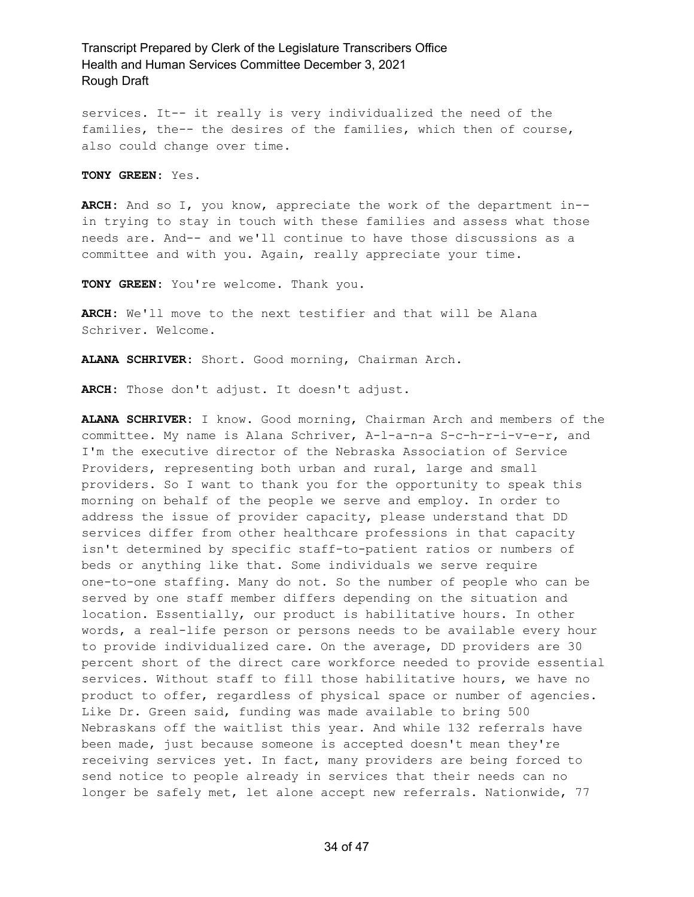services. It-- it really is very individualized the need of the families, the-- the desires of the families, which then of course, also could change over time.

**TONY GREEN:** Yes.

**ARCH:** And so I, you know, appreciate the work of the department in- in trying to stay in touch with these families and assess what those needs are. And-- and we'll continue to have those discussions as a committee and with you. Again, really appreciate your time.

**TONY GREEN:** You're welcome. Thank you.

**ARCH:** We'll move to the next testifier and that will be Alana Schriver. Welcome.

**ALANA SCHRIVER:** Short. Good morning, Chairman Arch.

**ARCH:** Those don't adjust. It doesn't adjust.

**ALANA SCHRIVER:** I know. Good morning, Chairman Arch and members of the committee. My name is Alana Schriver, A-l-a-n-a S-c-h-r-i-v-e-r, and I'm the executive director of the Nebraska Association of Service Providers, representing both urban and rural, large and small providers. So I want to thank you for the opportunity to speak this morning on behalf of the people we serve and employ. In order to address the issue of provider capacity, please understand that DD services differ from other healthcare professions in that capacity isn't determined by specific staff-to-patient ratios or numbers of beds or anything like that. Some individuals we serve require one-to-one staffing. Many do not. So the number of people who can be served by one staff member differs depending on the situation and location. Essentially, our product is habilitative hours. In other words, a real-life person or persons needs to be available every hour to provide individualized care. On the average, DD providers are 30 percent short of the direct care workforce needed to provide essential services. Without staff to fill those habilitative hours, we have no product to offer, regardless of physical space or number of agencies. Like Dr. Green said, funding was made available to bring 500 Nebraskans off the waitlist this year. And while 132 referrals have been made, just because someone is accepted doesn't mean they're receiving services yet. In fact, many providers are being forced to send notice to people already in services that their needs can no longer be safely met, let alone accept new referrals. Nationwide, 77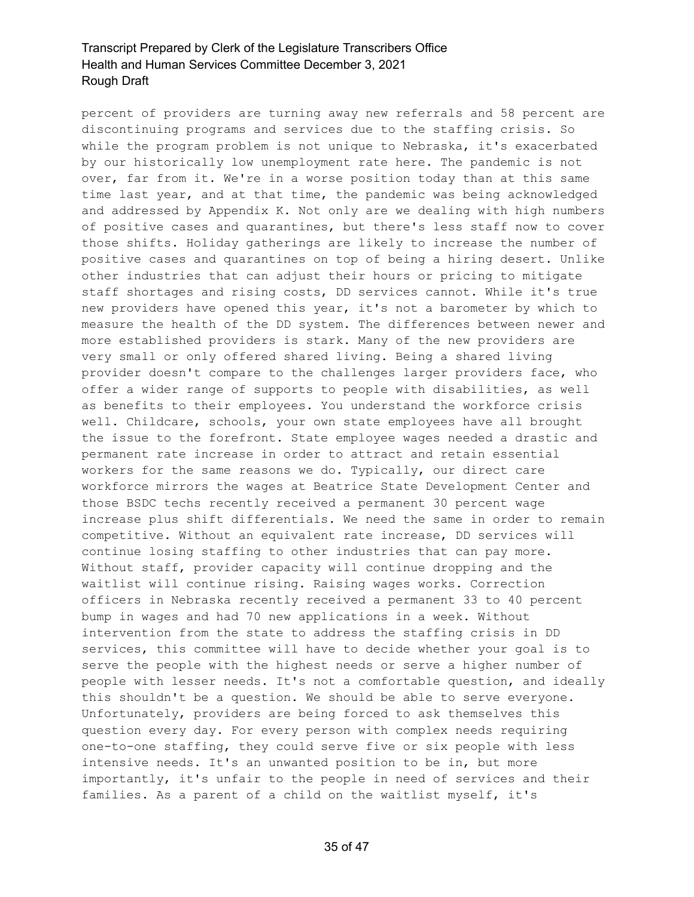percent of providers are turning away new referrals and 58 percent are discontinuing programs and services due to the staffing crisis. So while the program problem is not unique to Nebraska, it's exacerbated by our historically low unemployment rate here. The pandemic is not over, far from it. We're in a worse position today than at this same time last year, and at that time, the pandemic was being acknowledged and addressed by Appendix K. Not only are we dealing with high numbers of positive cases and quarantines, but there's less staff now to cover those shifts. Holiday gatherings are likely to increase the number of positive cases and quarantines on top of being a hiring desert. Unlike other industries that can adjust their hours or pricing to mitigate staff shortages and rising costs, DD services cannot. While it's true new providers have opened this year, it's not a barometer by which to measure the health of the DD system. The differences between newer and more established providers is stark. Many of the new providers are very small or only offered shared living. Being a shared living provider doesn't compare to the challenges larger providers face, who offer a wider range of supports to people with disabilities, as well as benefits to their employees. You understand the workforce crisis well. Childcare, schools, your own state employees have all brought the issue to the forefront. State employee wages needed a drastic and permanent rate increase in order to attract and retain essential workers for the same reasons we do. Typically, our direct care workforce mirrors the wages at Beatrice State Development Center and those BSDC techs recently received a permanent 30 percent wage increase plus shift differentials. We need the same in order to remain competitive. Without an equivalent rate increase, DD services will continue losing staffing to other industries that can pay more. Without staff, provider capacity will continue dropping and the waitlist will continue rising. Raising wages works. Correction officers in Nebraska recently received a permanent 33 to 40 percent bump in wages and had 70 new applications in a week. Without intervention from the state to address the staffing crisis in DD services, this committee will have to decide whether your goal is to serve the people with the highest needs or serve a higher number of people with lesser needs. It's not a comfortable question, and ideally this shouldn't be a question. We should be able to serve everyone. Unfortunately, providers are being forced to ask themselves this question every day. For every person with complex needs requiring one-to-one staffing, they could serve five or six people with less intensive needs. It's an unwanted position to be in, but more importantly, it's unfair to the people in need of services and their families. As a parent of a child on the waitlist myself, it's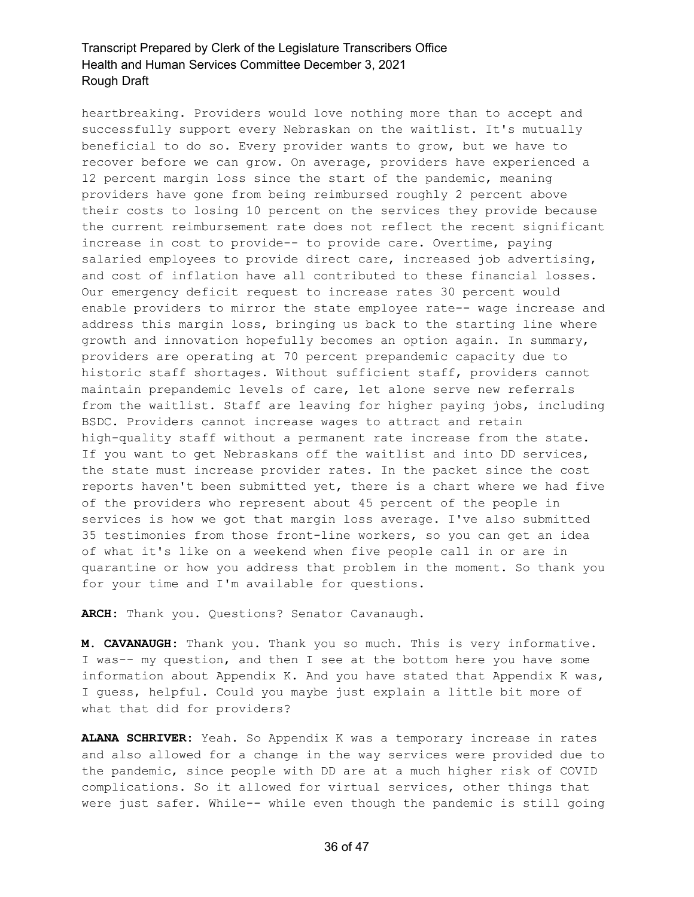heartbreaking. Providers would love nothing more than to accept and successfully support every Nebraskan on the waitlist. It's mutually beneficial to do so. Every provider wants to grow, but we have to recover before we can grow. On average, providers have experienced a 12 percent margin loss since the start of the pandemic, meaning providers have gone from being reimbursed roughly 2 percent above their costs to losing 10 percent on the services they provide because the current reimbursement rate does not reflect the recent significant increase in cost to provide-- to provide care. Overtime, paying salaried employees to provide direct care, increased job advertising, and cost of inflation have all contributed to these financial losses. Our emergency deficit request to increase rates 30 percent would enable providers to mirror the state employee rate-- wage increase and address this margin loss, bringing us back to the starting line where growth and innovation hopefully becomes an option again. In summary, providers are operating at 70 percent prepandemic capacity due to historic staff shortages. Without sufficient staff, providers cannot maintain prepandemic levels of care, let alone serve new referrals from the waitlist. Staff are leaving for higher paying jobs, including BSDC. Providers cannot increase wages to attract and retain high-quality staff without a permanent rate increase from the state. If you want to get Nebraskans off the waitlist and into DD services, the state must increase provider rates. In the packet since the cost reports haven't been submitted yet, there is a chart where we had five of the providers who represent about 45 percent of the people in services is how we got that margin loss average. I've also submitted 35 testimonies from those front-line workers, so you can get an idea of what it's like on a weekend when five people call in or are in quarantine or how you address that problem in the moment. So thank you for your time and I'm available for questions.

**ARCH:** Thank you. Questions? Senator Cavanaugh.

**M. CAVANAUGH:** Thank you. Thank you so much. This is very informative. I was-- my question, and then I see at the bottom here you have some information about Appendix K. And you have stated that Appendix K was, I guess, helpful. Could you maybe just explain a little bit more of what that did for providers?

**ALANA SCHRIVER:** Yeah. So Appendix K was a temporary increase in rates and also allowed for a change in the way services were provided due to the pandemic, since people with DD are at a much higher risk of COVID complications. So it allowed for virtual services, other things that were just safer. While-- while even though the pandemic is still going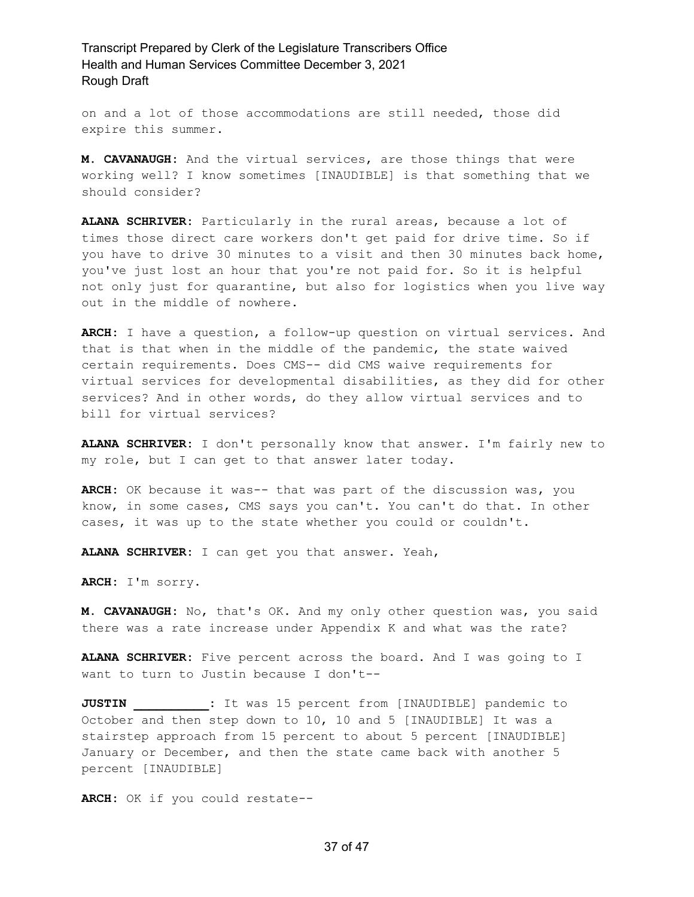on and a lot of those accommodations are still needed, those did expire this summer.

**M. CAVANAUGH:** And the virtual services, are those things that were working well? I know sometimes [INAUDIBLE] is that something that we should consider?

**ALANA SCHRIVER:** Particularly in the rural areas, because a lot of times those direct care workers don't get paid for drive time. So if you have to drive 30 minutes to a visit and then 30 minutes back home, you've just lost an hour that you're not paid for. So it is helpful not only just for quarantine, but also for logistics when you live way out in the middle of nowhere.

**ARCH:** I have a question, a follow-up question on virtual services. And that is that when in the middle of the pandemic, the state waived certain requirements. Does CMS-- did CMS waive requirements for virtual services for developmental disabilities, as they did for other services? And in other words, do they allow virtual services and to bill for virtual services?

**ALANA SCHRIVER:** I don't personally know that answer. I'm fairly new to my role, but I can get to that answer later today.

**ARCH:** OK because it was-- that was part of the discussion was, you know, in some cases, CMS says you can't. You can't do that. In other cases, it was up to the state whether you could or couldn't.

**ALANA SCHRIVER:** I can get you that answer. Yeah,

**ARCH:** I'm sorry.

**M. CAVANAUGH:** No, that's OK. And my only other question was, you said there was a rate increase under Appendix K and what was the rate?

**ALANA SCHRIVER:** Five percent across the board. And I was going to I want to turn to Justin because I don't--

**JUSTIN \_\_\_\_\_\_\_\_\_\_:** It was 15 percent from [INAUDIBLE] pandemic to October and then step down to 10, 10 and 5 [INAUDIBLE] It was a stairstep approach from 15 percent to about 5 percent [INAUDIBLE] January or December, and then the state came back with another 5 percent [INAUDIBLE]

**ARCH:** OK if you could restate--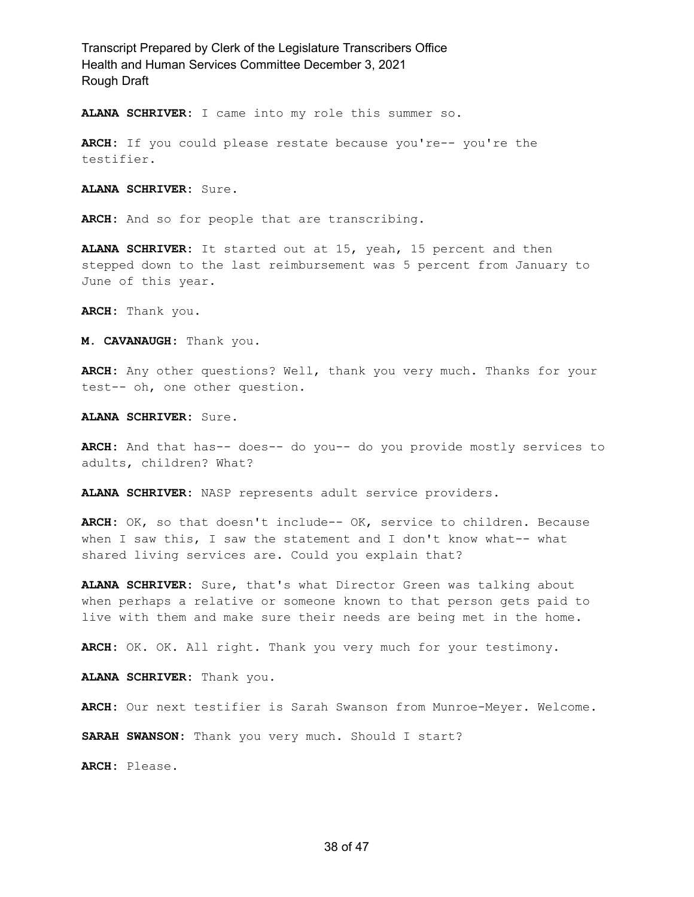**ALANA SCHRIVER:** I came into my role this summer so.

**ARCH:** If you could please restate because you're-- you're the testifier.

**ALANA SCHRIVER:** Sure.

**ARCH:** And so for people that are transcribing.

**ALANA SCHRIVER:** It started out at 15, yeah, 15 percent and then stepped down to the last reimbursement was 5 percent from January to June of this year.

**ARCH:** Thank you.

**M. CAVANAUGH:** Thank you.

**ARCH:** Any other questions? Well, thank you very much. Thanks for your test-- oh, one other question.

**ALANA SCHRIVER:** Sure.

**ARCH:** And that has-- does-- do you-- do you provide mostly services to adults, children? What?

**ALANA SCHRIVER:** NASP represents adult service providers.

**ARCH:** OK, so that doesn't include-- OK, service to children. Because when I saw this, I saw the statement and I don't know what-- what shared living services are. Could you explain that?

**ALANA SCHRIVER:** Sure, that's what Director Green was talking about when perhaps a relative or someone known to that person gets paid to live with them and make sure their needs are being met in the home.

**ARCH:** OK. OK. All right. Thank you very much for your testimony.

**ALANA SCHRIVER:** Thank you.

**ARCH:** Our next testifier is Sarah Swanson from Munroe-Meyer. Welcome.

**SARAH SWANSON:** Thank you very much. Should I start?

**ARCH:** Please.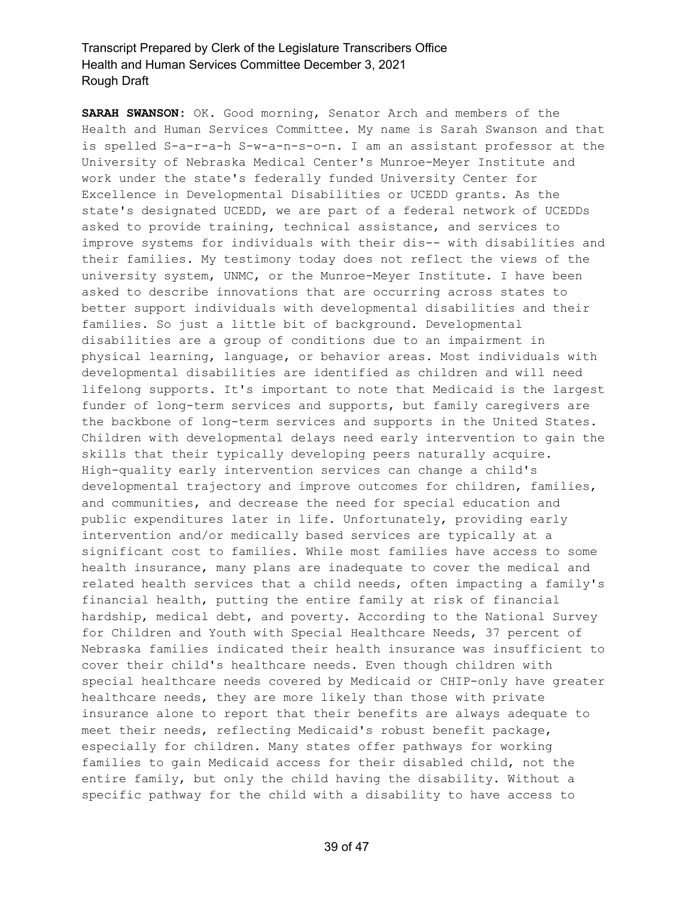**SARAH SWANSON:** OK. Good morning, Senator Arch and members of the Health and Human Services Committee. My name is Sarah Swanson and that is spelled S-a-r-a-h S-w-a-n-s-o-n. I am an assistant professor at the University of Nebraska Medical Center's Munroe-Meyer Institute and work under the state's federally funded University Center for Excellence in Developmental Disabilities or UCEDD grants. As the state's designated UCEDD, we are part of a federal network of UCEDDs asked to provide training, technical assistance, and services to improve systems for individuals with their dis-- with disabilities and their families. My testimony today does not reflect the views of the university system, UNMC, or the Munroe-Meyer Institute. I have been asked to describe innovations that are occurring across states to better support individuals with developmental disabilities and their families. So just a little bit of background. Developmental disabilities are a group of conditions due to an impairment in physical learning, language, or behavior areas. Most individuals with developmental disabilities are identified as children and will need lifelong supports. It's important to note that Medicaid is the largest funder of long-term services and supports, but family caregivers are the backbone of long-term services and supports in the United States. Children with developmental delays need early intervention to gain the skills that their typically developing peers naturally acquire. High-quality early intervention services can change a child's developmental trajectory and improve outcomes for children, families, and communities, and decrease the need for special education and public expenditures later in life. Unfortunately, providing early intervention and/or medically based services are typically at a significant cost to families. While most families have access to some health insurance, many plans are inadequate to cover the medical and related health services that a child needs, often impacting a family's financial health, putting the entire family at risk of financial hardship, medical debt, and poverty. According to the National Survey for Children and Youth with Special Healthcare Needs, 37 percent of Nebraska families indicated their health insurance was insufficient to cover their child's healthcare needs. Even though children with special healthcare needs covered by Medicaid or CHIP-only have greater healthcare needs, they are more likely than those with private insurance alone to report that their benefits are always adequate to meet their needs, reflecting Medicaid's robust benefit package, especially for children. Many states offer pathways for working families to gain Medicaid access for their disabled child, not the entire family, but only the child having the disability. Without a specific pathway for the child with a disability to have access to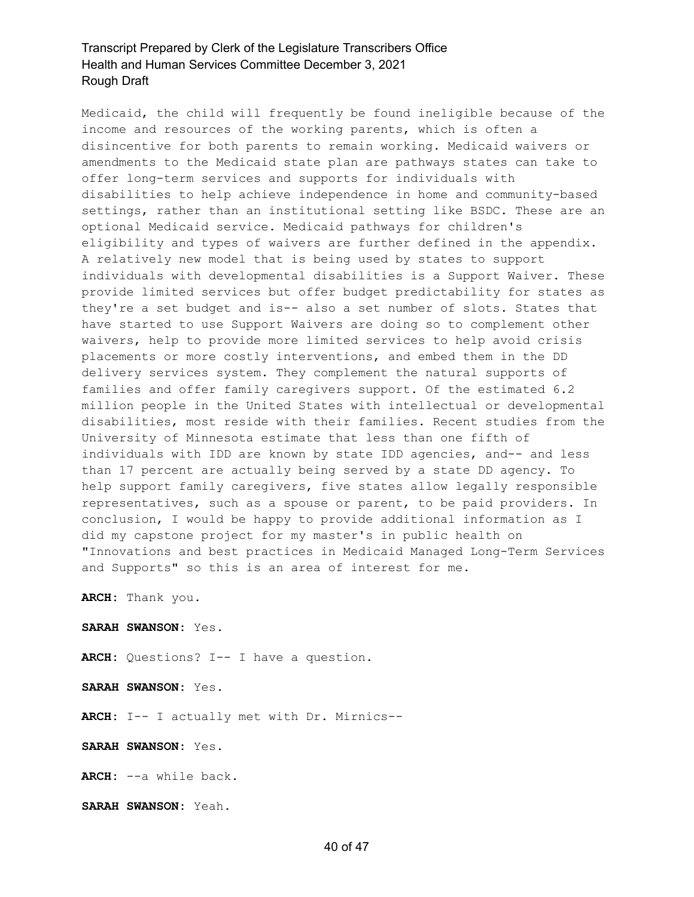Medicaid, the child will frequently be found ineligible because of the income and resources of the working parents, which is often a disincentive for both parents to remain working. Medicaid waivers or amendments to the Medicaid state plan are pathways states can take to offer long-term services and supports for individuals with disabilities to help achieve independence in home and community-based settings, rather than an institutional setting like BSDC. These are an optional Medicaid service. Medicaid pathways for children's eligibility and types of waivers are further defined in the appendix. A relatively new model that is being used by states to support individuals with developmental disabilities is a Support Waiver. These provide limited services but offer budget predictability for states as they're a set budget and is-- also a set number of slots. States that have started to use Support Waivers are doing so to complement other waivers, help to provide more limited services to help avoid crisis placements or more costly interventions, and embed them in the DD delivery services system. They complement the natural supports of families and offer family caregivers support. Of the estimated 6.2 million people in the United States with intellectual or developmental disabilities, most reside with their families. Recent studies from the University of Minnesota estimate that less than one fifth of individuals with IDD are known by state IDD agencies, and-- and less than 17 percent are actually being served by a state DD agency. To help support family caregivers, five states allow legally responsible representatives, such as a spouse or parent, to be paid providers. In conclusion, I would be happy to provide additional information as I did my capstone project for my master's in public health on "Innovations and best practices in Medicaid Managed Long-Term Services and Supports" so this is an area of interest for me.

**ARCH:** Thank you.

**SARAH SWANSON:** Yes.

**ARCH:** Questions? I-- I have a question.

**SARAH SWANSON:** Yes.

**ARCH:** I-- I actually met with Dr. Mirnics--

**SARAH SWANSON:** Yes.

**ARCH:** --a while back.

**SARAH SWANSON:** Yeah.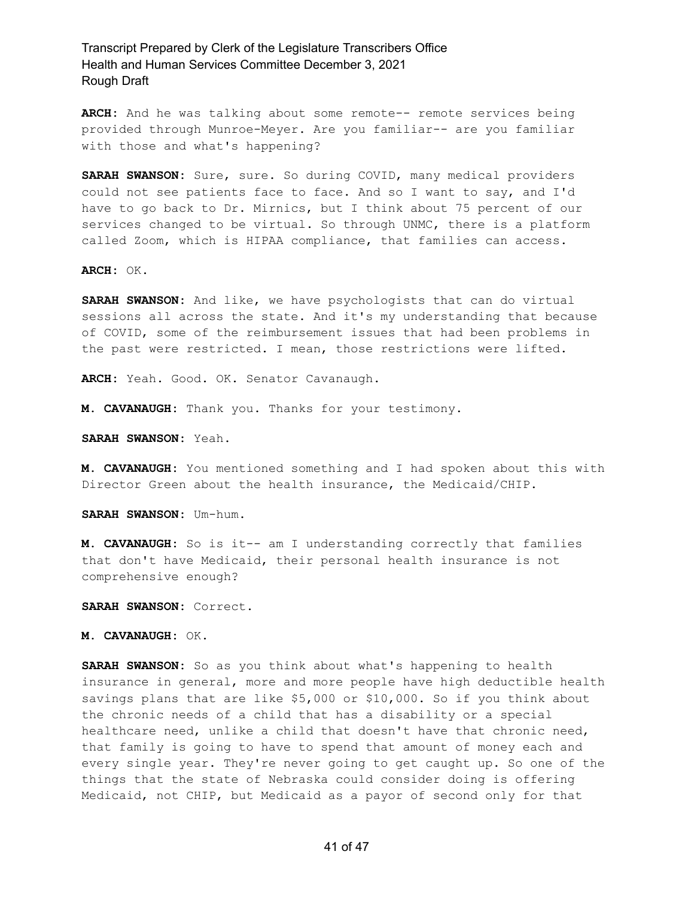**ARCH:** And he was talking about some remote-- remote services being provided through Munroe-Meyer. Are you familiar-- are you familiar with those and what's happening?

**SARAH SWANSON:** Sure, sure. So during COVID, many medical providers could not see patients face to face. And so I want to say, and I'd have to go back to Dr. Mirnics, but I think about 75 percent of our services changed to be virtual. So through UNMC, there is a platform called Zoom, which is HIPAA compliance, that families can access.

**ARCH:** OK.

**SARAH SWANSON:** And like, we have psychologists that can do virtual sessions all across the state. And it's my understanding that because of COVID, some of the reimbursement issues that had been problems in the past were restricted. I mean, those restrictions were lifted.

**ARCH:** Yeah. Good. OK. Senator Cavanaugh.

**M. CAVANAUGH:** Thank you. Thanks for your testimony.

**SARAH SWANSON:** Yeah.

**M. CAVANAUGH:** You mentioned something and I had spoken about this with Director Green about the health insurance, the Medicaid/CHIP.

**SARAH SWANSON:** Um-hum.

**M. CAVANAUGH:** So is it-- am I understanding correctly that families that don't have Medicaid, their personal health insurance is not comprehensive enough?

**SARAH SWANSON:** Correct.

**M. CAVANAUGH:** OK.

**SARAH SWANSON:** So as you think about what's happening to health insurance in general, more and more people have high deductible health savings plans that are like \$5,000 or \$10,000. So if you think about the chronic needs of a child that has a disability or a special healthcare need, unlike a child that doesn't have that chronic need, that family is going to have to spend that amount of money each and every single year. They're never going to get caught up. So one of the things that the state of Nebraska could consider doing is offering Medicaid, not CHIP, but Medicaid as a payor of second only for that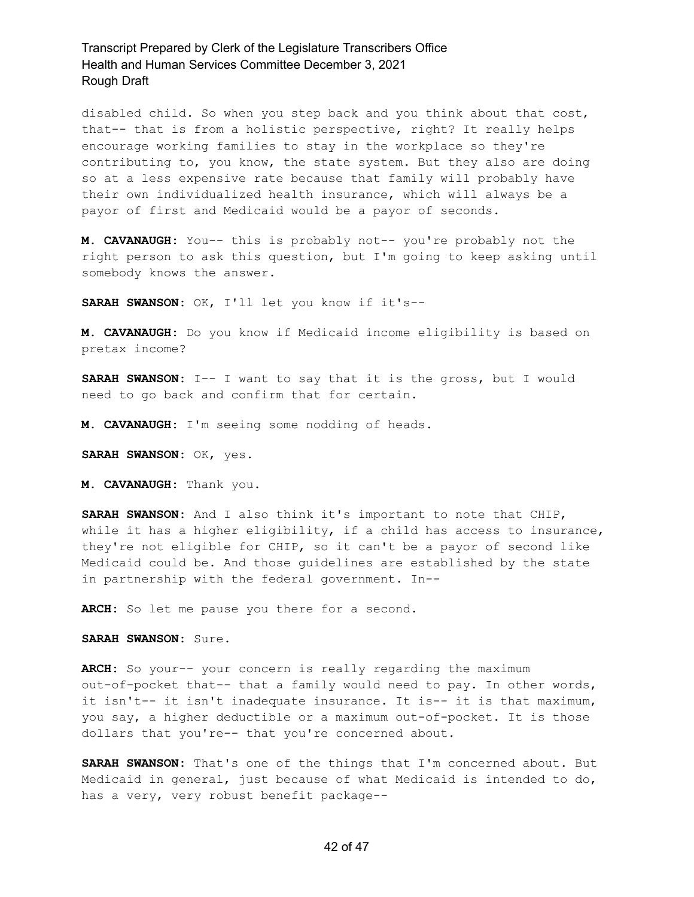disabled child. So when you step back and you think about that cost, that-- that is from a holistic perspective, right? It really helps encourage working families to stay in the workplace so they're contributing to, you know, the state system. But they also are doing so at a less expensive rate because that family will probably have their own individualized health insurance, which will always be a payor of first and Medicaid would be a payor of seconds.

**M. CAVANAUGH:** You-- this is probably not-- you're probably not the right person to ask this question, but I'm going to keep asking until somebody knows the answer.

**SARAH SWANSON:** OK, I'll let you know if it's--

**M. CAVANAUGH:** Do you know if Medicaid income eligibility is based on pretax income?

**SARAH SWANSON:** I-- I want to say that it is the gross, but I would need to go back and confirm that for certain.

**M. CAVANAUGH:** I'm seeing some nodding of heads.

**SARAH SWANSON:** OK, yes.

**M. CAVANAUGH:** Thank you.

**SARAH SWANSON:** And I also think it's important to note that CHIP, while it has a higher eligibility, if a child has access to insurance, they're not eligible for CHIP, so it can't be a payor of second like Medicaid could be. And those guidelines are established by the state in partnership with the federal government. In--

**ARCH:** So let me pause you there for a second.

**SARAH SWANSON:** Sure.

**ARCH:** So your-- your concern is really regarding the maximum out-of-pocket that-- that a family would need to pay. In other words, it isn't-- it isn't inadequate insurance. It is-- it is that maximum, you say, a higher deductible or a maximum out-of-pocket. It is those dollars that you're-- that you're concerned about.

**SARAH SWANSON:** That's one of the things that I'm concerned about. But Medicaid in general, just because of what Medicaid is intended to do, has a very, very robust benefit package--

#### 42 of 47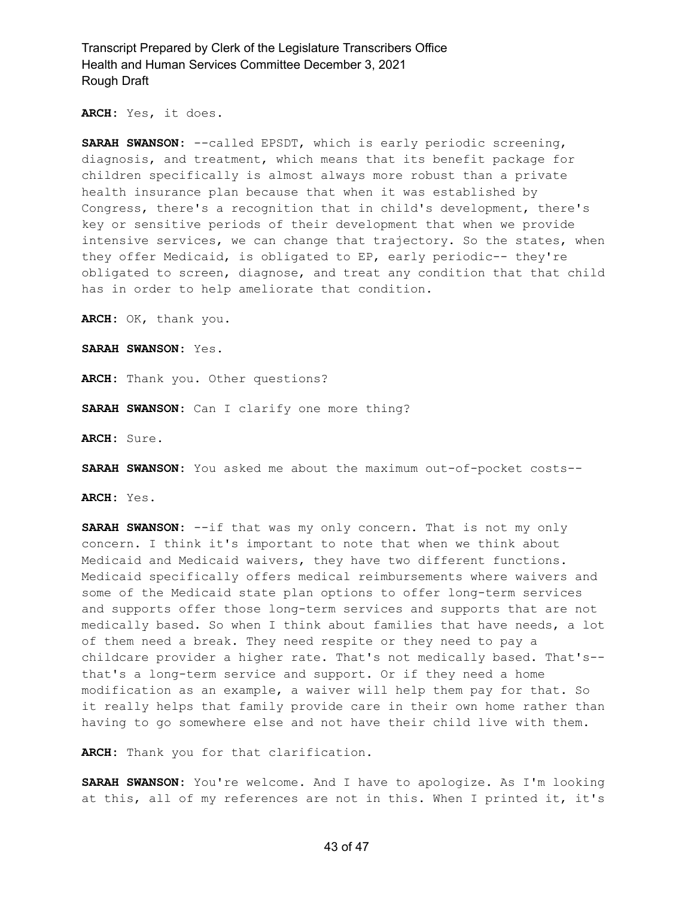**ARCH:** Yes, it does.

**SARAH SWANSON:** --called EPSDT, which is early periodic screening, diagnosis, and treatment, which means that its benefit package for children specifically is almost always more robust than a private health insurance plan because that when it was established by Congress, there's a recognition that in child's development, there's key or sensitive periods of their development that when we provide intensive services, we can change that trajectory. So the states, when they offer Medicaid, is obligated to EP, early periodic-- they're obligated to screen, diagnose, and treat any condition that that child has in order to help ameliorate that condition.

**ARCH:** OK, thank you.

**SARAH SWANSON:** Yes.

**ARCH:** Thank you. Other questions?

**SARAH SWANSON:** Can I clarify one more thing?

**ARCH:** Sure.

**SARAH SWANSON:** You asked me about the maximum out-of-pocket costs--

**ARCH:** Yes.

**SARAH SWANSON:** --if that was my only concern. That is not my only concern. I think it's important to note that when we think about Medicaid and Medicaid waivers, they have two different functions. Medicaid specifically offers medical reimbursements where waivers and some of the Medicaid state plan options to offer long-term services and supports offer those long-term services and supports that are not medically based. So when I think about families that have needs, a lot of them need a break. They need respite or they need to pay a childcare provider a higher rate. That's not medically based. That's- that's a long-term service and support. Or if they need a home modification as an example, a waiver will help them pay for that. So it really helps that family provide care in their own home rather than having to go somewhere else and not have their child live with them.

**ARCH:** Thank you for that clarification.

**SARAH SWANSON:** You're welcome. And I have to apologize. As I'm looking at this, all of my references are not in this. When I printed it, it's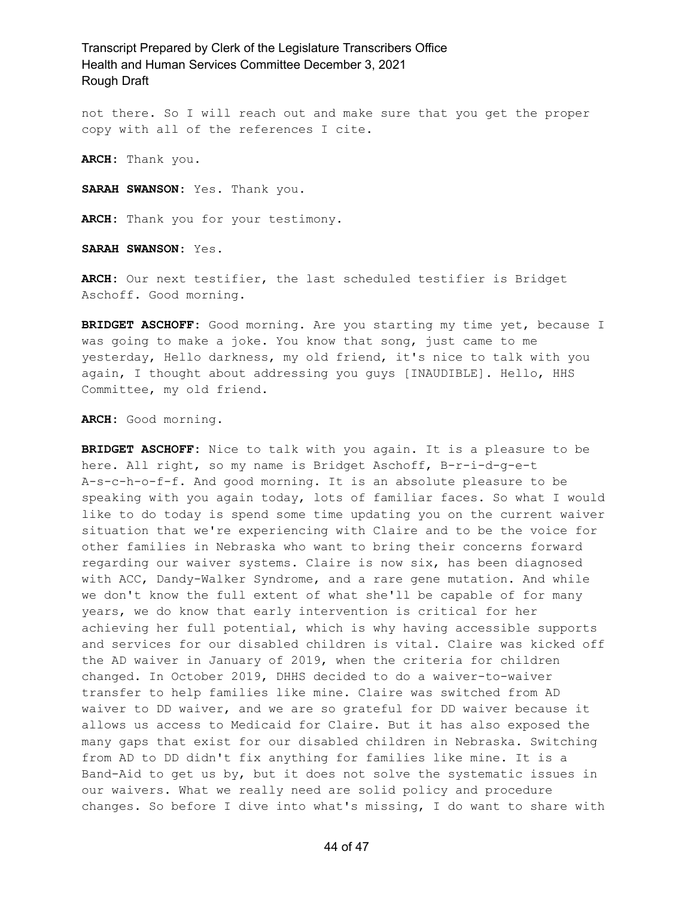not there. So I will reach out and make sure that you get the proper copy with all of the references I cite.

**ARCH:** Thank you.

**SARAH SWANSON:** Yes. Thank you.

**ARCH:** Thank you for your testimony.

**SARAH SWANSON:** Yes.

**ARCH:** Our next testifier, the last scheduled testifier is Bridget Aschoff. Good morning.

**BRIDGET ASCHOFF:** Good morning. Are you starting my time yet, because I was going to make a joke. You know that song, just came to me yesterday, Hello darkness, my old friend, it's nice to talk with you again, I thought about addressing you guys [INAUDIBLE]. Hello, HHS Committee, my old friend.

**ARCH:** Good morning.

**BRIDGET ASCHOFF:** Nice to talk with you again. It is a pleasure to be here. All right, so my name is Bridget Aschoff, B-r-i-d-q-e-t A-s-c-h-o-f-f. And good morning. It is an absolute pleasure to be speaking with you again today, lots of familiar faces. So what I would like to do today is spend some time updating you on the current waiver situation that we're experiencing with Claire and to be the voice for other families in Nebraska who want to bring their concerns forward regarding our waiver systems. Claire is now six, has been diagnosed with ACC, Dandy-Walker Syndrome, and a rare gene mutation. And while we don't know the full extent of what she'll be capable of for many years, we do know that early intervention is critical for her achieving her full potential, which is why having accessible supports and services for our disabled children is vital. Claire was kicked off the AD waiver in January of 2019, when the criteria for children changed. In October 2019, DHHS decided to do a waiver-to-waiver transfer to help families like mine. Claire was switched from AD waiver to DD waiver, and we are so grateful for DD waiver because it allows us access to Medicaid for Claire. But it has also exposed the many gaps that exist for our disabled children in Nebraska. Switching from AD to DD didn't fix anything for families like mine. It is a Band-Aid to get us by, but it does not solve the systematic issues in our waivers. What we really need are solid policy and procedure changes. So before I dive into what's missing, I do want to share with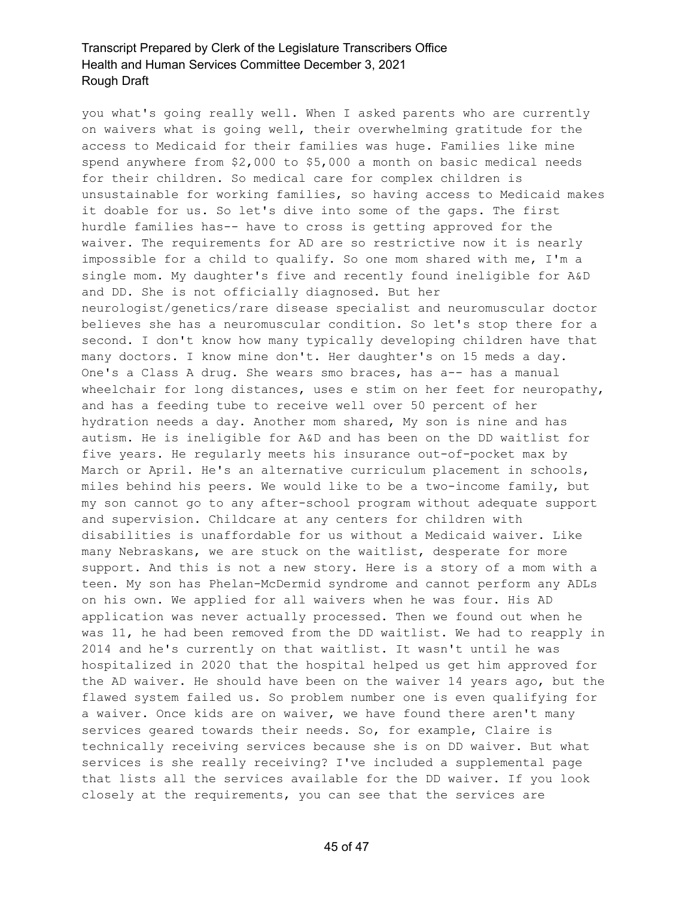you what's going really well. When I asked parents who are currently on waivers what is going well, their overwhelming gratitude for the access to Medicaid for their families was huge. Families like mine spend anywhere from \$2,000 to \$5,000 a month on basic medical needs for their children. So medical care for complex children is unsustainable for working families, so having access to Medicaid makes it doable for us. So let's dive into some of the gaps. The first hurdle families has-- have to cross is getting approved for the waiver. The requirements for AD are so restrictive now it is nearly impossible for a child to qualify. So one mom shared with me, I'm a single mom. My daughter's five and recently found ineligible for A&D and DD. She is not officially diagnosed. But her neurologist/genetics/rare disease specialist and neuromuscular doctor believes she has a neuromuscular condition. So let's stop there for a second. I don't know how many typically developing children have that many doctors. I know mine don't. Her daughter's on 15 meds a day. One's a Class A drug. She wears smo braces, has a-- has a manual wheelchair for long distances, uses e stim on her feet for neuropathy, and has a feeding tube to receive well over 50 percent of her hydration needs a day. Another mom shared, My son is nine and has autism. He is ineligible for A&D and has been on the DD waitlist for five years. He regularly meets his insurance out-of-pocket max by March or April. He's an alternative curriculum placement in schools, miles behind his peers. We would like to be a two-income family, but my son cannot go to any after-school program without adequate support and supervision. Childcare at any centers for children with disabilities is unaffordable for us without a Medicaid waiver. Like many Nebraskans, we are stuck on the waitlist, desperate for more support. And this is not a new story. Here is a story of a mom with a teen. My son has Phelan-McDermid syndrome and cannot perform any ADLs on his own. We applied for all waivers when he was four. His AD application was never actually processed. Then we found out when he was 11, he had been removed from the DD waitlist. We had to reapply in 2014 and he's currently on that waitlist. It wasn't until he was hospitalized in 2020 that the hospital helped us get him approved for the AD waiver. He should have been on the waiver 14 years ago, but the flawed system failed us. So problem number one is even qualifying for a waiver. Once kids are on waiver, we have found there aren't many services geared towards their needs. So, for example, Claire is technically receiving services because she is on DD waiver. But what services is she really receiving? I've included a supplemental page that lists all the services available for the DD waiver. If you look closely at the requirements, you can see that the services are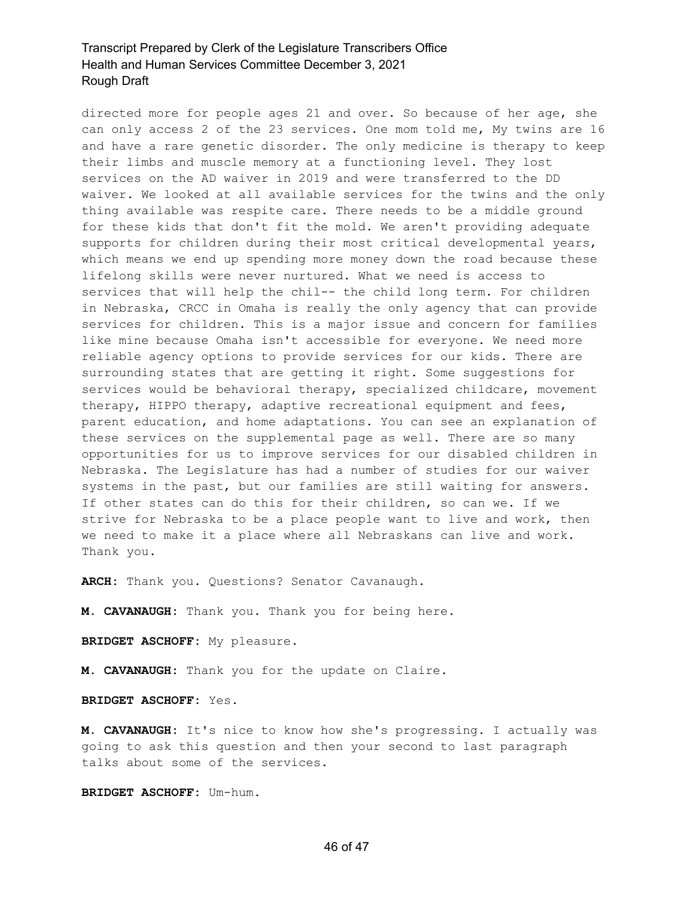directed more for people ages 21 and over. So because of her age, she can only access 2 of the 23 services. One mom told me, My twins are 16 and have a rare genetic disorder. The only medicine is therapy to keep their limbs and muscle memory at a functioning level. They lost services on the AD waiver in 2019 and were transferred to the DD waiver. We looked at all available services for the twins and the only thing available was respite care. There needs to be a middle ground for these kids that don't fit the mold. We aren't providing adequate supports for children during their most critical developmental years, which means we end up spending more money down the road because these lifelong skills were never nurtured. What we need is access to services that will help the chil-- the child long term. For children in Nebraska, CRCC in Omaha is really the only agency that can provide services for children. This is a major issue and concern for families like mine because Omaha isn't accessible for everyone. We need more reliable agency options to provide services for our kids. There are surrounding states that are getting it right. Some suggestions for services would be behavioral therapy, specialized childcare, movement therapy, HIPPO therapy, adaptive recreational equipment and fees, parent education, and home adaptations. You can see an explanation of these services on the supplemental page as well. There are so many opportunities for us to improve services for our disabled children in Nebraska. The Legislature has had a number of studies for our waiver systems in the past, but our families are still waiting for answers. If other states can do this for their children, so can we. If we strive for Nebraska to be a place people want to live and work, then we need to make it a place where all Nebraskans can live and work. Thank you.

**ARCH:** Thank you. Questions? Senator Cavanaugh.

**M. CAVANAUGH:** Thank you. Thank you for being here.

**BRIDGET ASCHOFF:** My pleasure.

**M. CAVANAUGH:** Thank you for the update on Claire.

**BRIDGET ASCHOFF:** Yes.

**M. CAVANAUGH:** It's nice to know how she's progressing. I actually was going to ask this question and then your second to last paragraph talks about some of the services.

**BRIDGET ASCHOFF:** Um-hum.